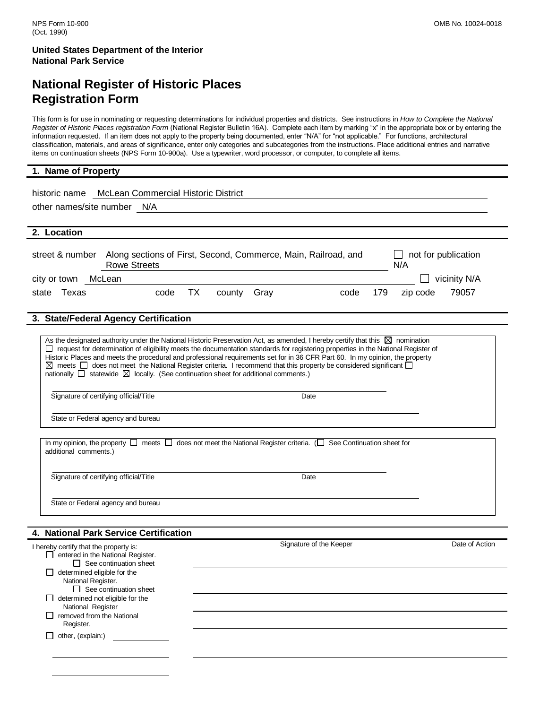### **National Register of Historic Places Registration Form**

This form is for use in nominating or requesting determinations for individual properties and districts. See instructions in *How to Complete the National Register of Historic Places registration Form* (National Register Bulletin 16A). Complete each item by marking "x" in the appropriate box or by entering the information requested. If an item does not apply to the property being documented, enter "N/A" for "not applicable." For functions, architectural classification, materials, and areas of significance, enter only categories and subcategories from the instructions. Place additional entries and narrative items on continuation sheets (NPS Form 10-900a). Use a typewriter, word processor, or computer, to complete all items.

#### **1. Name of Property**

 $\Box$  other, (explain:)

| <b>McLean Commercial Historic District</b><br>historic name<br>other names/site number N/A                                                                                                                                                                                                                                                                                                                                                                                                                                                                                                                                                                      |                         |                                   |                |
|-----------------------------------------------------------------------------------------------------------------------------------------------------------------------------------------------------------------------------------------------------------------------------------------------------------------------------------------------------------------------------------------------------------------------------------------------------------------------------------------------------------------------------------------------------------------------------------------------------------------------------------------------------------------|-------------------------|-----------------------------------|----------------|
| 2. Location                                                                                                                                                                                                                                                                                                                                                                                                                                                                                                                                                                                                                                                     |                         |                                   |                |
| street & number Along sections of First, Second, Commerce, Main, Railroad, and<br><b>Rowe Streets</b>                                                                                                                                                                                                                                                                                                                                                                                                                                                                                                                                                           |                         | $\Box$ not for publication<br>N/A |                |
| McLean<br>city or town                                                                                                                                                                                                                                                                                                                                                                                                                                                                                                                                                                                                                                          |                         |                                   | vicinity N/A   |
| state Texas<br>code<br>TX.                                                                                                                                                                                                                                                                                                                                                                                                                                                                                                                                                                                                                                      | county Gray             | 179<br>code<br>zip code           | 79057          |
| 3. State/Federal Agency Certification                                                                                                                                                                                                                                                                                                                                                                                                                                                                                                                                                                                                                           |                         |                                   |                |
|                                                                                                                                                                                                                                                                                                                                                                                                                                                                                                                                                                                                                                                                 |                         |                                   |                |
| As the designated authority under the National Historic Preservation Act, as amended, I hereby certify that this $\boxtimes$ nomination<br>□ request for determination of eligibility meets the documentation standards for registering properties in the National Register of<br>Historic Places and meets the procedural and professional requirements set for in 36 CFR Part 60. In my opinion, the property<br>$\boxtimes$ meets $\Box$ does not meet the National Register criteria. I recommend that this property be considered significant $\Box$<br>nationally $\Box$ statewide $\boxtimes$ locally. (See continuation sheet for additional comments.) |                         |                                   |                |
| Signature of certifying official/Title                                                                                                                                                                                                                                                                                                                                                                                                                                                                                                                                                                                                                          | Date                    |                                   |                |
| State or Federal agency and bureau                                                                                                                                                                                                                                                                                                                                                                                                                                                                                                                                                                                                                              |                         |                                   |                |
| In my opinion, the property $\Box$ meets $\Box$ does not meet the National Register criteria. ( $\Box$ See Continuation sheet for<br>additional comments.)                                                                                                                                                                                                                                                                                                                                                                                                                                                                                                      |                         |                                   |                |
| Signature of certifying official/Title                                                                                                                                                                                                                                                                                                                                                                                                                                                                                                                                                                                                                          | Date                    |                                   |                |
| State or Federal agency and bureau                                                                                                                                                                                                                                                                                                                                                                                                                                                                                                                                                                                                                              |                         |                                   |                |
| 4. National Park Service Certification                                                                                                                                                                                                                                                                                                                                                                                                                                                                                                                                                                                                                          |                         |                                   |                |
| I hereby certify that the property is:<br>$\Box$ entered in the National Register.<br>See continuation sheet<br>$\Box$ determined eligible for the<br>National Register.                                                                                                                                                                                                                                                                                                                                                                                                                                                                                        | Signature of the Keeper |                                   | Date of Action |
| $\Box$ See continuation sheet<br>$\Box$ determined not eligible for the<br>National Register<br>$\Box$ removed from the National<br>Register.                                                                                                                                                                                                                                                                                                                                                                                                                                                                                                                   |                         |                                   |                |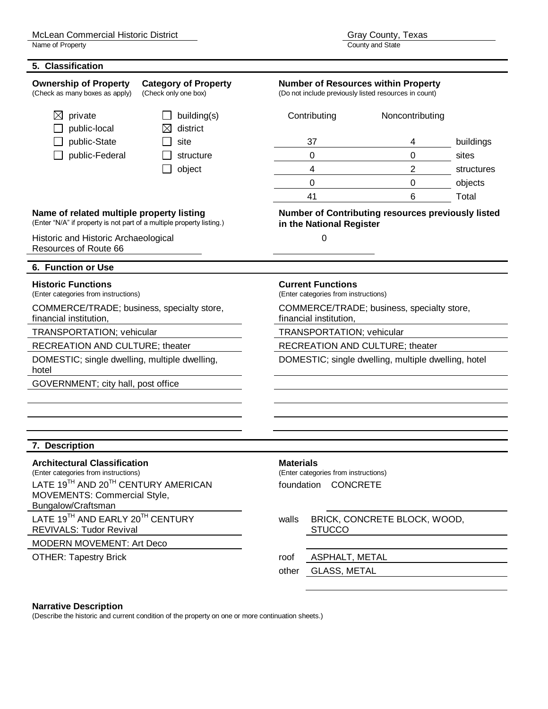Name of Property **County and State** 

**5. Classification**

| <b>Ownership of Property</b><br>(Check as many boxes as apply)                                                     | <b>Category of Property</b><br>(Check only one box) |                                                                  | <b>Number of Resources within Property</b><br>(Do not include previously listed resources in count) |            |
|--------------------------------------------------------------------------------------------------------------------|-----------------------------------------------------|------------------------------------------------------------------|-----------------------------------------------------------------------------------------------------|------------|
| ⊠<br>private<br>public-local                                                                                       | building(s)<br>district<br>$\boxtimes$              | Contributing                                                     | Noncontributing                                                                                     |            |
| public-State                                                                                                       | site                                                | 37                                                               | 4                                                                                                   | buildings  |
| public-Federal                                                                                                     | structure                                           | 0                                                                | 0                                                                                                   | sites      |
|                                                                                                                    | object                                              | 4                                                                | $\overline{2}$                                                                                      | structures |
|                                                                                                                    |                                                     | 0                                                                | 0                                                                                                   | objects    |
|                                                                                                                    |                                                     | 41                                                               | 6                                                                                                   | Total      |
| Name of related multiple property listing<br>(Enter "N/A" if property is not part of a multiple property listing.) |                                                     | in the National Register                                         | <b>Number of Contributing resources previously listed</b>                                           |            |
| Historic and Historic Archaeological<br>Resources of Route 66                                                      |                                                     | 0                                                                |                                                                                                     |            |
| 6. Function or Use                                                                                                 |                                                     |                                                                  |                                                                                                     |            |
| <b>Historic Functions</b><br>(Enter categories from instructions)                                                  |                                                     | <b>Current Functions</b><br>(Enter categories from instructions) |                                                                                                     |            |
| COMMERCE/TRADE; business, specialty store,<br>financial institution,                                               |                                                     | financial institution,                                           | COMMERCE/TRADE; business, specialty store,                                                          |            |
| <b>TRANSPORTATION; vehicular</b>                                                                                   |                                                     | TRANSPORTATION; vehicular                                        |                                                                                                     |            |
| <b>RECREATION AND CULTURE; theater</b>                                                                             |                                                     |                                                                  | <b>RECREATION AND CULTURE; theater</b>                                                              |            |
| DOMESTIC; single dwelling, multiple dwelling,<br>hotel                                                             |                                                     |                                                                  | DOMESTIC; single dwelling, multiple dwelling, hotel                                                 |            |
| GOVERNMENT; city hall, post office                                                                                 |                                                     |                                                                  |                                                                                                     |            |
|                                                                                                                    |                                                     |                                                                  |                                                                                                     |            |
|                                                                                                                    |                                                     |                                                                  |                                                                                                     |            |
| 7. Description                                                                                                     |                                                     |                                                                  |                                                                                                     |            |
| <b>Architectural Classification</b>                                                                                |                                                     | <b>Materials</b>                                                 |                                                                                                     |            |
| (Enter categories from instructions)<br>LATE 19TH AND 20TH CENTURY AMERICAN                                        |                                                     | (Enter categories from instructions)<br>foundation               | <b>CONCRETE</b>                                                                                     |            |
| MOVEMENTS: Commercial Style,                                                                                       |                                                     |                                                                  |                                                                                                     |            |
| Bungalow/Craftsman                                                                                                 |                                                     |                                                                  |                                                                                                     |            |
| LATE 19TH AND EARLY 20TH CENTURY<br>REVIVALS: Tudor Revival                                                        |                                                     | walls<br><b>STUCCO</b>                                           | BRICK, CONCRETE BLOCK, WOOD,                                                                        |            |
| MODERN MOVEMENT: Art Deco                                                                                          |                                                     |                                                                  |                                                                                                     |            |
| <b>OTHER: Tapestry Brick</b>                                                                                       |                                                     | <b>ASPHALT, METAL</b><br>roof                                    |                                                                                                     |            |
|                                                                                                                    |                                                     | <b>GLASS, METAL</b><br>other                                     |                                                                                                     |            |
|                                                                                                                    |                                                     |                                                                  |                                                                                                     |            |

#### **Narrative Description**

(Describe the historic and current condition of the property on one or more continuation sheets.)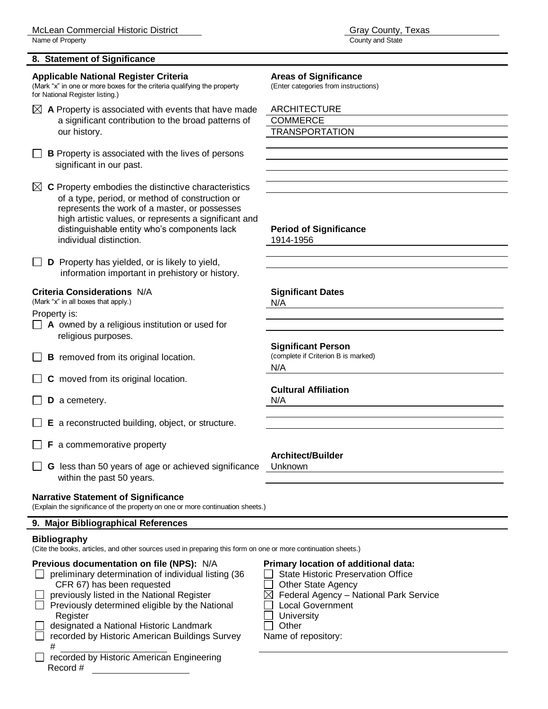| 8. Statement of Significance |  |
|------------------------------|--|
|------------------------------|--|

**Applicable National Register Criteria Ancas of Significance** *Meas* of Significance *(Mark "x" in one or more boxes for the criteria qualifying the property (Enter categories from instructions)* (Mark "x" in one or more boxes for the criteria qualifying the property for National Register listing.)

- $\boxtimes$  **A** Property is associated with events that have made ARCHITECTURE a significant contribution to the broad patterns of COMMERCE our history. TRANSPORTATION
- **B** Property is associated with the lives of persons significant in our past.

 $\boxtimes$  **C** Property embodies the distinctive characteristics of a type, period, or method of construction or represents the work of a master, or possesses high artistic values, or represents a significant and distinguishable entity who's components lack **Period of Significance** individual distinction. 1914-1956

**D** Property has yielded, or is likely to yield, information important in prehistory or history.

#### **Criteria Considerations** N/A **Significant Dates**

(Mark "x" in all boxes that apply.)  $N/\overline{A}$ 

#### Property is:

- □ **A** owned by a religious institution or used for religious purposes.
- $\Box$  **B** removed from its original location.
- **C** moved from its original location.
- **D** a cemetery.
- **E** a reconstructed building, object, or structure.
- **F** a commemorative property
- **G** less than 50 years of age or achieved significance Unknown within the past 50 years.

#### **Narrative Statement of Significance**

(Explain the significance of the property on one or more continuation sheets.)

#### **9. Major Bibliographical References**

#### **Bibliography**

(Cite the books, articles, and other sources used in preparing this form on one or more continuation sheets.)

| Previous documentation on file (NPS): N/A<br>preliminary determination of individual listing (36<br>CFR 67) has been requested<br>previously listed in the National Register<br>Previously determined eligible by the National<br>Register<br>designated a National Historic Landmark<br>recorded by Historic American Buildings Survey<br># | <b>Primary location of a</b><br><b>State Historic Pres</b><br>Other State Agenc<br>Federal Agency -<br>Local Government<br>University<br>Other<br>Name of repository: |
|----------------------------------------------------------------------------------------------------------------------------------------------------------------------------------------------------------------------------------------------------------------------------------------------------------------------------------------------|-----------------------------------------------------------------------------------------------------------------------------------------------------------------------|
| recorded by Historic American Engineering<br>Record #                                                                                                                                                                                                                                                                                        |                                                                                                                                                                       |
|                                                                                                                                                                                                                                                                                                                                              |                                                                                                                                                                       |

**Significant Person**<br>(complete if Criterion B is marked)

N/A

#### **Cultural Affiliation**

**Architect/Builder**

**Previous of additional data:** 

#### toric Preservation Office

- ate Agency
- **Agency National Park Service**
-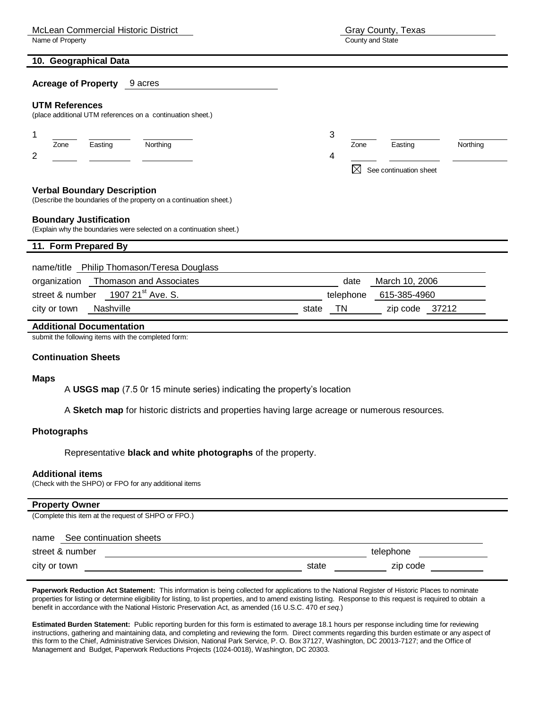| McLean Commercial Historic District | Gray County,     |
|-------------------------------------|------------------|
| Name of Property                    | County and State |

#### **10. Geographical Data**

**Acreage of Property** 9 acres

#### **UTM References**

(place additional UTM references on a continuation sheet.)

|   | Zone | Easting | Northing |  | Zone | Easting | Northing |
|---|------|---------|----------|--|------|---------|----------|
| - |      |         |          |  |      |         |          |
|   |      |         |          |  |      |         |          |

#### **Verbal Boundary Description**

(Describe the boundaries of the property on a continuation sheet.)

#### **Boundary Justification**

(Explain why the boundaries were selected on a continuation sheet.)

#### **11. Form Prepared By**

| name/title Philip Thomason/Teresa Douglass    |                               |
|-----------------------------------------------|-------------------------------|
| organization Thomason and Associates          | March 10, 2006<br>date        |
| street & number 1907 21 <sup>st</sup> Ave. S. | telephone 615-385-4960        |
| Nashville<br>city or town                     | TN<br>zip code 37212<br>state |

#### **Additional Documentation**

submit the following items with the completed form:

#### **Continuation Sheets**

#### **Maps**

A **USGS map** (7.5 0r 15 minute series) indicating the property's location

A **Sketch map** for historic districts and properties having large acreage or numerous resources.

#### **Photographs**

Representative **black and white photographs** of the property.

#### **Additional items**

(Check with the SHPO) or FPO for any additional items

#### **Property Owner**

(Complete this item at the request of SHPO or FPO.)

| See continuation sheets<br>name |       |           |
|---------------------------------|-------|-----------|
| street & number                 |       | telephone |
| city or town                    | state | zip code  |

**Paperwork Reduction Act Statement:** This information is being collected for applications to the National Register of Historic Places to nominate properties for listing or determine eligibility for listing, to list properties, and to amend existing listing. Response to this request is required to obtain a benefit in accordance with the National Historic Preservation Act, as amended (16 U.S.C. 470 *et seq.*)

**Estimated Burden Statement:** Public reporting burden for this form is estimated to average 18.1 hours per response including time for reviewing instructions, gathering and maintaining data, and completing and reviewing the form. Direct comments regarding this burden estimate or any aspect of this form to the Chief, Administrative Services Division, National Park Service, P. O. Box 37127, Washington, DC 20013-7127; and the Office of Management and Budget, Paperwork Reductions Projects (1024-0018), Washington, DC 20303.

Gray County, Texas

 $\boxtimes$  See continuation sheet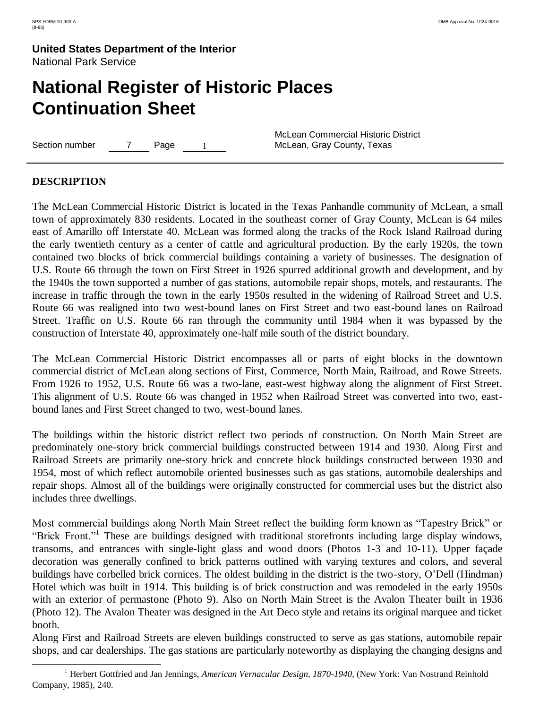# **National Register of Historic Places Continuation Sheet**

Section number 7 Page 1

McLean Commercial Historic District McLean, Gray County, Texas

### **DESCRIPTION**

 $\overline{a}$ 

The McLean Commercial Historic District is located in the Texas Panhandle community of McLean, a small town of approximately 830 residents. Located in the southeast corner of Gray County, McLean is 64 miles east of Amarillo off Interstate 40. McLean was formed along the tracks of the Rock Island Railroad during the early twentieth century as a center of cattle and agricultural production. By the early 1920s, the town contained two blocks of brick commercial buildings containing a variety of businesses. The designation of U.S. Route 66 through the town on First Street in 1926 spurred additional growth and development, and by the 1940s the town supported a number of gas stations, automobile repair shops, motels, and restaurants. The increase in traffic through the town in the early 1950s resulted in the widening of Railroad Street and U.S. Route 66 was realigned into two west-bound lanes on First Street and two east-bound lanes on Railroad Street. Traffic on U.S. Route 66 ran through the community until 1984 when it was bypassed by the construction of Interstate 40, approximately one-half mile south of the district boundary.

The McLean Commercial Historic District encompasses all or parts of eight blocks in the downtown commercial district of McLean along sections of First, Commerce, North Main, Railroad, and Rowe Streets. From 1926 to 1952, U.S. Route 66 was a two-lane, east-west highway along the alignment of First Street. This alignment of U.S. Route 66 was changed in 1952 when Railroad Street was converted into two, eastbound lanes and First Street changed to two, west-bound lanes.

The buildings within the historic district reflect two periods of construction. On North Main Street are predominately one-story brick commercial buildings constructed between 1914 and 1930. Along First and Railroad Streets are primarily one-story brick and concrete block buildings constructed between 1930 and 1954, most of which reflect automobile oriented businesses such as gas stations, automobile dealerships and repair shops. Almost all of the buildings were originally constructed for commercial uses but the district also includes three dwellings.

Most commercial buildings along North Main Street reflect the building form known as "Tapestry Brick" or "Brick Front."<sup>1</sup> These are buildings designed with traditional storefronts including large display windows, transoms, and entrances with single-light glass and wood doors (Photos 1-3 and 10-11). Upper façade decoration was generally confined to brick patterns outlined with varying textures and colors, and several buildings have corbelled brick cornices. The oldest building in the district is the two-story, O'Dell (Hindman) Hotel which was built in 1914. This building is of brick construction and was remodeled in the early 1950s with an exterior of permastone (Photo 9). Also on North Main Street is the Avalon Theater built in 1936 (Photo 12). The Avalon Theater was designed in the Art Deco style and retains its original marquee and ticket booth.

Along First and Railroad Streets are eleven buildings constructed to serve as gas stations, automobile repair shops, and car dealerships. The gas stations are particularly noteworthy as displaying the changing designs and

<sup>1</sup> Herbert Gottfried and Jan Jennings, *American Vernacular Design, 1870-1940*, (New York: Van Nostrand Reinhold Company, 1985), 240.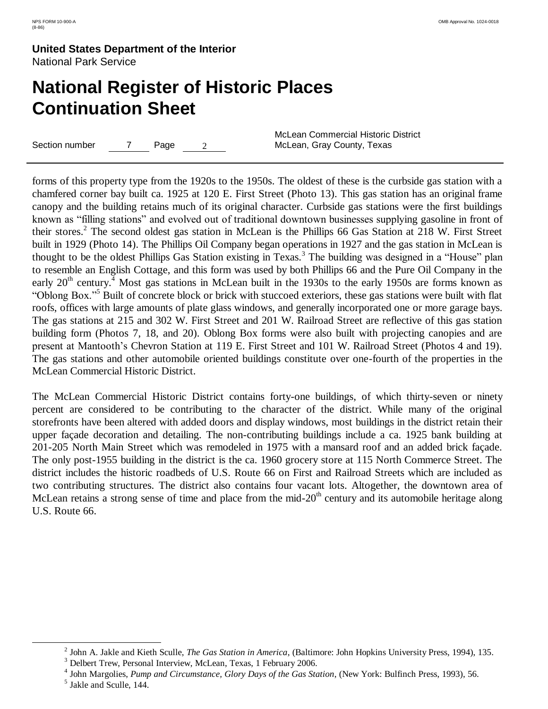# **National Register of Historic Places Continuation Sheet**

Section number 7 Page 2

McLean Commercial Historic District McLean, Gray County, Texas

forms of this property type from the 1920s to the 1950s. The oldest of these is the curbside gas station with a chamfered corner bay built ca. 1925 at 120 E. First Street (Photo 13). This gas station has an original frame canopy and the building retains much of its original character. Curbside gas stations were the first buildings known as "filling stations" and evolved out of traditional downtown businesses supplying gasoline in front of their stores.<sup>2</sup> The second oldest gas station in McLean is the Phillips 66 Gas Station at 218 W. First Street built in 1929 (Photo 14). The Phillips Oil Company began operations in 1927 and the gas station in McLean is thought to be the oldest Phillips Gas Station existing in Texas.<sup>3</sup> The building was designed in a "House" plan to resemble an English Cottage, and this form was used by both Phillips 66 and the Pure Oil Company in the early  $20<sup>th</sup>$  century.<sup>4</sup> Most gas stations in McLean built in the 1930s to the early 1950s are forms known as "Oblong Box."<sup>5</sup> Built of concrete block or brick with stuccoed exteriors, these gas stations were built with flat roofs, offices with large amounts of plate glass windows, and generally incorporated one or more garage bays. The gas stations at 215 and 302 W. First Street and 201 W. Railroad Street are reflective of this gas station building form (Photos 7, 18, and 20). Oblong Box forms were also built with projecting canopies and are present at Mantooth's Chevron Station at 119 E. First Street and 101 W. Railroad Street (Photos 4 and 19). The gas stations and other automobile oriented buildings constitute over one-fourth of the properties in the McLean Commercial Historic District.

The McLean Commercial Historic District contains forty-one buildings, of which thirty-seven or ninety percent are considered to be contributing to the character of the district. While many of the original storefronts have been altered with added doors and display windows, most buildings in the district retain their upper façade decoration and detailing. The non-contributing buildings include a ca. 1925 bank building at 201-205 North Main Street which was remodeled in 1975 with a mansard roof and an added brick façade. The only post-1955 building in the district is the ca. 1960 grocery store at 115 North Commerce Street. The district includes the historic roadbeds of U.S. Route 66 on First and Railroad Streets which are included as two contributing structures. The district also contains four vacant lots. Altogether, the downtown area of McLean retains a strong sense of time and place from the mid- $20<sup>th</sup>$  century and its automobile heritage along U.S. Route 66.

 $\overline{\phantom{a}}$ 

<sup>2</sup> John A. Jakle and Kieth Sculle, *The Gas Station in America*, (Baltimore: John Hopkins University Press, 1994), 135.

<sup>&</sup>lt;sup>3</sup> Delbert Trew, Personal Interview, McLean, Texas, 1 February 2006.

<sup>4</sup> John Margolies, *Pump and Circumstance, Glory Days of the Gas Station*, (New York: Bulfinch Press, 1993), 56.

<sup>&</sup>lt;sup>5</sup> Jakle and Sculle, 144.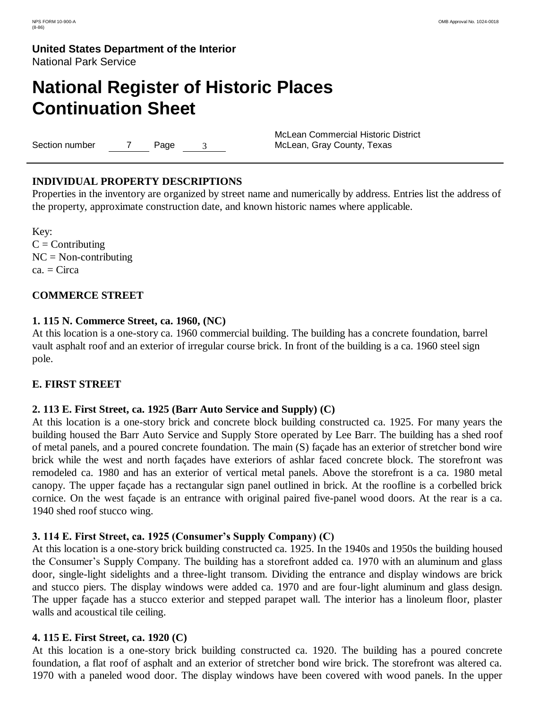# **National Register of Historic Places Continuation Sheet**

Section number 7 Page 3

McLean Commercial Historic District McLean, Gray County, Texas

### **INDIVIDUAL PROPERTY DESCRIPTIONS**

Properties in the inventory are organized by street name and numerically by address. Entries list the address of the property, approximate construction date, and known historic names where applicable.

Key:  $C =$  Contributing  $NC = Non-contribution$  $ca = Circa$ 

### **COMMERCE STREET**

#### **1. 115 N. Commerce Street, ca. 1960, (NC)**

At this location is a one-story ca. 1960 commercial building. The building has a concrete foundation, barrel vault asphalt roof and an exterior of irregular course brick. In front of the building is a ca. 1960 steel sign pole.

#### **E. FIRST STREET**

#### **2. 113 E. First Street, ca. 1925 (Barr Auto Service and Supply) (C)**

At this location is a one-story brick and concrete block building constructed ca. 1925. For many years the building housed the Barr Auto Service and Supply Store operated by Lee Barr. The building has a shed roof of metal panels, and a poured concrete foundation. The main (S) façade has an exterior of stretcher bond wire brick while the west and north façades have exteriors of ashlar faced concrete block. The storefront was remodeled ca. 1980 and has an exterior of vertical metal panels. Above the storefront is a ca. 1980 metal canopy. The upper façade has a rectangular sign panel outlined in brick. At the roofline is a corbelled brick cornice. On the west façade is an entrance with original paired five-panel wood doors. At the rear is a ca. 1940 shed roof stucco wing.

#### **3. 114 E. First Street, ca. 1925 (Consumer's Supply Company) (C)**

At this location is a one-story brick building constructed ca. 1925. In the 1940s and 1950s the building housed the Consumer's Supply Company. The building has a storefront added ca. 1970 with an aluminum and glass door, single-light sidelights and a three-light transom. Dividing the entrance and display windows are brick and stucco piers. The display windows were added ca. 1970 and are four-light aluminum and glass design. The upper façade has a stucco exterior and stepped parapet wall. The interior has a linoleum floor, plaster walls and acoustical tile ceiling.

#### **4. 115 E. First Street, ca. 1920 (C)**

At this location is a one-story brick building constructed ca. 1920. The building has a poured concrete foundation, a flat roof of asphalt and an exterior of stretcher bond wire brick. The storefront was altered ca. 1970 with a paneled wood door. The display windows have been covered with wood panels. In the upper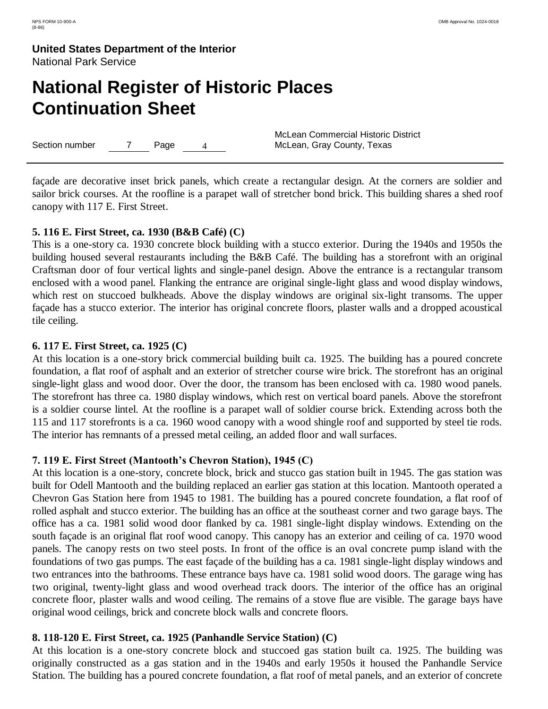# **National Register of Historic Places Continuation Sheet**

Section number 7 Page 4

McLean Commercial Historic District McLean, Gray County, Texas

façade are decorative inset brick panels, which create a rectangular design. At the corners are soldier and sailor brick courses. At the roofline is a parapet wall of stretcher bond brick. This building shares a shed roof canopy with 117 E. First Street.

### **5. 116 E. First Street, ca. 1930 (B&B Café) (C)**

This is a one-story ca. 1930 concrete block building with a stucco exterior. During the 1940s and 1950s the building housed several restaurants including the B&B Café. The building has a storefront with an original Craftsman door of four vertical lights and single-panel design. Above the entrance is a rectangular transom enclosed with a wood panel. Flanking the entrance are original single-light glass and wood display windows, which rest on stuccoed bulkheads. Above the display windows are original six-light transoms. The upper façade has a stucco exterior. The interior has original concrete floors, plaster walls and a dropped acoustical tile ceiling.

#### **6. 117 E. First Street, ca. 1925 (C)**

At this location is a one-story brick commercial building built ca. 1925. The building has a poured concrete foundation, a flat roof of asphalt and an exterior of stretcher course wire brick. The storefront has an original single-light glass and wood door. Over the door, the transom has been enclosed with ca. 1980 wood panels. The storefront has three ca. 1980 display windows, which rest on vertical board panels. Above the storefront is a soldier course lintel. At the roofline is a parapet wall of soldier course brick. Extending across both the 115 and 117 storefronts is a ca. 1960 wood canopy with a wood shingle roof and supported by steel tie rods. The interior has remnants of a pressed metal ceiling, an added floor and wall surfaces.

### **7. 119 E. First Street (Mantooth's Chevron Station), 1945 (C)**

At this location is a one-story, concrete block, brick and stucco gas station built in 1945. The gas station was built for Odell Mantooth and the building replaced an earlier gas station at this location. Mantooth operated a Chevron Gas Station here from 1945 to 1981. The building has a poured concrete foundation, a flat roof of rolled asphalt and stucco exterior. The building has an office at the southeast corner and two garage bays. The office has a ca. 1981 solid wood door flanked by ca. 1981 single-light display windows. Extending on the south façade is an original flat roof wood canopy. This canopy has an exterior and ceiling of ca. 1970 wood panels. The canopy rests on two steel posts. In front of the office is an oval concrete pump island with the foundations of two gas pumps. The east façade of the building has a ca. 1981 single-light display windows and two entrances into the bathrooms. These entrance bays have ca. 1981 solid wood doors. The garage wing has two original, twenty-light glass and wood overhead track doors. The interior of the office has an original concrete floor, plaster walls and wood ceiling. The remains of a stove flue are visible. The garage bays have original wood ceilings, brick and concrete block walls and concrete floors.

### **8. 118-120 E. First Street, ca. 1925 (Panhandle Service Station) (C)**

At this location is a one-story concrete block and stuccoed gas station built ca. 1925. The building was originally constructed as a gas station and in the 1940s and early 1950s it housed the Panhandle Service Station. The building has a poured concrete foundation, a flat roof of metal panels, and an exterior of concrete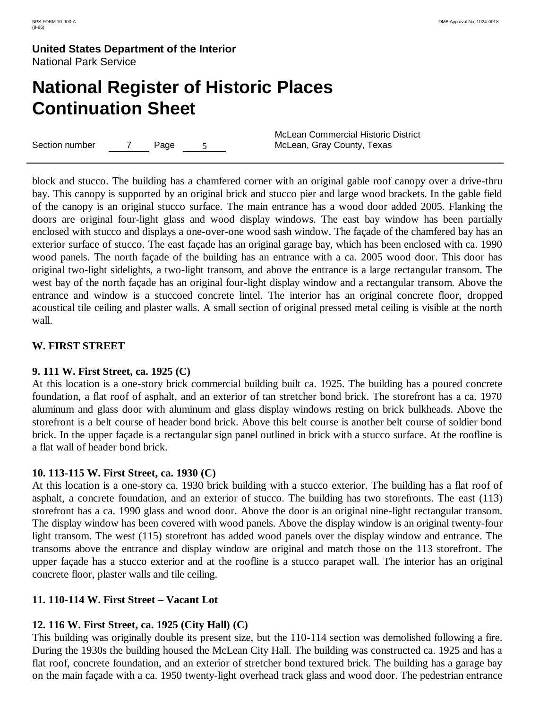# **National Register of Historic Places Continuation Sheet**

Section number 7 Page 5

McLean Commercial Historic District McLean, Gray County, Texas

block and stucco. The building has a chamfered corner with an original gable roof canopy over a drive-thru bay. This canopy is supported by an original brick and stucco pier and large wood brackets. In the gable field of the canopy is an original stucco surface. The main entrance has a wood door added 2005. Flanking the doors are original four-light glass and wood display windows. The east bay window has been partially enclosed with stucco and displays a one-over-one wood sash window. The façade of the chamfered bay has an exterior surface of stucco. The east façade has an original garage bay, which has been enclosed with ca. 1990 wood panels. The north façade of the building has an entrance with a ca. 2005 wood door. This door has original two-light sidelights, a two-light transom, and above the entrance is a large rectangular transom. The west bay of the north façade has an original four-light display window and a rectangular transom. Above the entrance and window is a stuccoed concrete lintel. The interior has an original concrete floor, dropped acoustical tile ceiling and plaster walls. A small section of original pressed metal ceiling is visible at the north wall.

### **W. FIRST STREET**

### **9. 111 W. First Street, ca. 1925 (C)**

At this location is a one-story brick commercial building built ca. 1925. The building has a poured concrete foundation, a flat roof of asphalt, and an exterior of tan stretcher bond brick. The storefront has a ca. 1970 aluminum and glass door with aluminum and glass display windows resting on brick bulkheads. Above the storefront is a belt course of header bond brick. Above this belt course is another belt course of soldier bond brick. In the upper façade is a rectangular sign panel outlined in brick with a stucco surface. At the roofline is a flat wall of header bond brick.

#### **10. 113-115 W. First Street, ca. 1930 (C)**

At this location is a one-story ca. 1930 brick building with a stucco exterior. The building has a flat roof of asphalt, a concrete foundation, and an exterior of stucco. The building has two storefronts. The east (113) storefront has a ca. 1990 glass and wood door. Above the door is an original nine-light rectangular transom. The display window has been covered with wood panels. Above the display window is an original twenty-four light transom. The west (115) storefront has added wood panels over the display window and entrance. The transoms above the entrance and display window are original and match those on the 113 storefront. The upper façade has a stucco exterior and at the roofline is a stucco parapet wall. The interior has an original concrete floor, plaster walls and tile ceiling.

### **11. 110-114 W. First Street – Vacant Lot**

### **12. 116 W. First Street, ca. 1925 (City Hall) (C)**

This building was originally double its present size, but the 110-114 section was demolished following a fire. During the 1930s the building housed the McLean City Hall. The building was constructed ca. 1925 and has a flat roof, concrete foundation, and an exterior of stretcher bond textured brick. The building has a garage bay on the main façade with a ca. 1950 twenty-light overhead track glass and wood door. The pedestrian entrance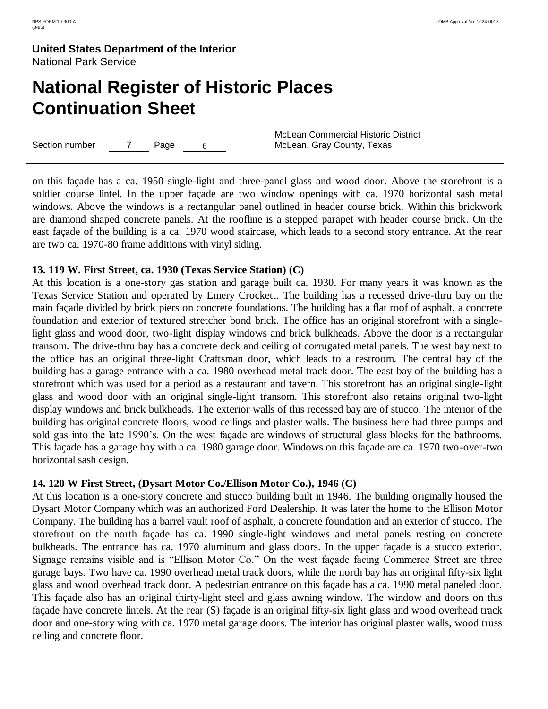# **National Register of Historic Places Continuation Sheet**

Section number 7 Page 6

McLean Commercial Historic District McLean, Gray County, Texas

on this façade has a ca. 1950 single-light and three-panel glass and wood door. Above the storefront is a soldier course lintel. In the upper façade are two window openings with ca. 1970 horizontal sash metal windows. Above the windows is a rectangular panel outlined in header course brick. Within this brickwork are diamond shaped concrete panels. At the roofline is a stepped parapet with header course brick. On the east façade of the building is a ca. 1970 wood staircase, which leads to a second story entrance. At the rear are two ca. 1970-80 frame additions with vinyl siding.

### **13. 119 W. First Street, ca. 1930 (Texas Service Station) (C)**

At this location is a one-story gas station and garage built ca. 1930. For many years it was known as the Texas Service Station and operated by Emery Crockett. The building has a recessed drive-thru bay on the main façade divided by brick piers on concrete foundations. The building has a flat roof of asphalt, a concrete foundation and exterior of textured stretcher bond brick. The office has an original storefront with a singlelight glass and wood door, two-light display windows and brick bulkheads. Above the door is a rectangular transom. The drive-thru bay has a concrete deck and ceiling of corrugated metal panels. The west bay next to the office has an original three-light Craftsman door, which leads to a restroom. The central bay of the building has a garage entrance with a ca. 1980 overhead metal track door. The east bay of the building has a storefront which was used for a period as a restaurant and tavern. This storefront has an original single-light glass and wood door with an original single-light transom. This storefront also retains original two-light display windows and brick bulkheads. The exterior walls of this recessed bay are of stucco. The interior of the building has original concrete floors, wood ceilings and plaster walls. The business here had three pumps and sold gas into the late 1990's. On the west façade are windows of structural glass blocks for the bathrooms. This façade has a garage bay with a ca. 1980 garage door. Windows on this façade are ca. 1970 two-over-two horizontal sash design.

#### **14. 120 W First Street, (Dysart Motor Co./Ellison Motor Co.), 1946 (C)**

At this location is a one-story concrete and stucco building built in 1946. The building originally housed the Dysart Motor Company which was an authorized Ford Dealership. It was later the home to the Ellison Motor Company. The building has a barrel vault roof of asphalt, a concrete foundation and an exterior of stucco. The storefront on the north façade has ca. 1990 single-light windows and metal panels resting on concrete bulkheads. The entrance has ca. 1970 aluminum and glass doors. In the upper façade is a stucco exterior. Signage remains visible and is "Ellison Motor Co." On the west façade facing Commerce Street are three garage bays. Two have ca. 1990 overhead metal track doors, while the north bay has an original fifty-six light glass and wood overhead track door. A pedestrian entrance on this façade has a ca. 1990 metal paneled door. This façade also has an original thirty-light steel and glass awning window. The window and doors on this façade have concrete lintels. At the rear (S) façade is an original fifty-six light glass and wood overhead track door and one-story wing with ca. 1970 metal garage doors. The interior has original plaster walls, wood truss ceiling and concrete floor.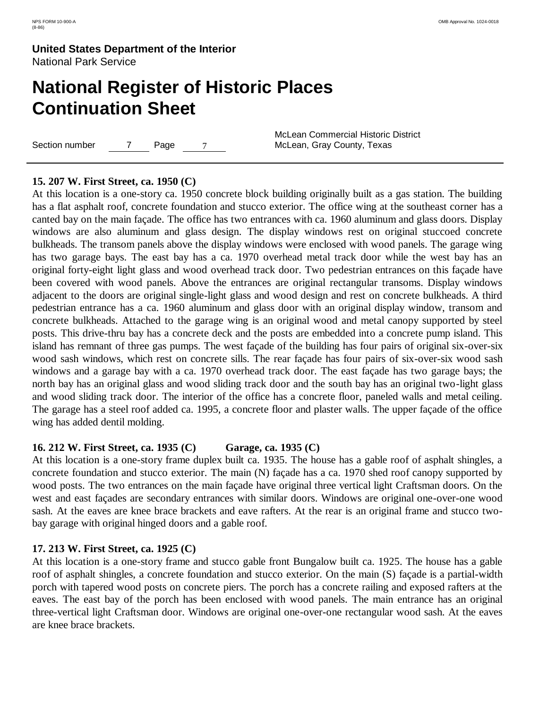# **National Register of Historic Places Continuation Sheet**

Section number 7 Page 7

McLean Commercial Historic District McLean, Gray County, Texas

#### **15. 207 W. First Street, ca. 1950 (C)**

At this location is a one-story ca. 1950 concrete block building originally built as a gas station. The building has a flat asphalt roof, concrete foundation and stucco exterior. The office wing at the southeast corner has a canted bay on the main façade. The office has two entrances with ca. 1960 aluminum and glass doors. Display windows are also aluminum and glass design. The display windows rest on original stuccoed concrete bulkheads. The transom panels above the display windows were enclosed with wood panels. The garage wing has two garage bays. The east bay has a ca. 1970 overhead metal track door while the west bay has an original forty-eight light glass and wood overhead track door. Two pedestrian entrances on this façade have been covered with wood panels. Above the entrances are original rectangular transoms. Display windows adjacent to the doors are original single-light glass and wood design and rest on concrete bulkheads. A third pedestrian entrance has a ca. 1960 aluminum and glass door with an original display window, transom and concrete bulkheads. Attached to the garage wing is an original wood and metal canopy supported by steel posts. This drive-thru bay has a concrete deck and the posts are embedded into a concrete pump island. This island has remnant of three gas pumps. The west façade of the building has four pairs of original six-over-six wood sash windows, which rest on concrete sills. The rear façade has four pairs of six-over-six wood sash windows and a garage bay with a ca. 1970 overhead track door. The east façade has two garage bays; the north bay has an original glass and wood sliding track door and the south bay has an original two-light glass and wood sliding track door. The interior of the office has a concrete floor, paneled walls and metal ceiling. The garage has a steel roof added ca. 1995, a concrete floor and plaster walls. The upper façade of the office wing has added dentil molding.

#### **16. 212 W. First Street, ca. 1935 (C) Garage, ca. 1935 (C)**

At this location is a one-story frame duplex built ca. 1935. The house has a gable roof of asphalt shingles, a concrete foundation and stucco exterior. The main (N) façade has a ca. 1970 shed roof canopy supported by wood posts. The two entrances on the main façade have original three vertical light Craftsman doors. On the west and east façades are secondary entrances with similar doors. Windows are original one-over-one wood sash. At the eaves are knee brace brackets and eave rafters. At the rear is an original frame and stucco twobay garage with original hinged doors and a gable roof.

#### **17. 213 W. First Street, ca. 1925 (C)**

At this location is a one-story frame and stucco gable front Bungalow built ca. 1925. The house has a gable roof of asphalt shingles, a concrete foundation and stucco exterior. On the main (S) façade is a partial-width porch with tapered wood posts on concrete piers. The porch has a concrete railing and exposed rafters at the eaves. The east bay of the porch has been enclosed with wood panels. The main entrance has an original three-vertical light Craftsman door. Windows are original one-over-one rectangular wood sash. At the eaves are knee brace brackets.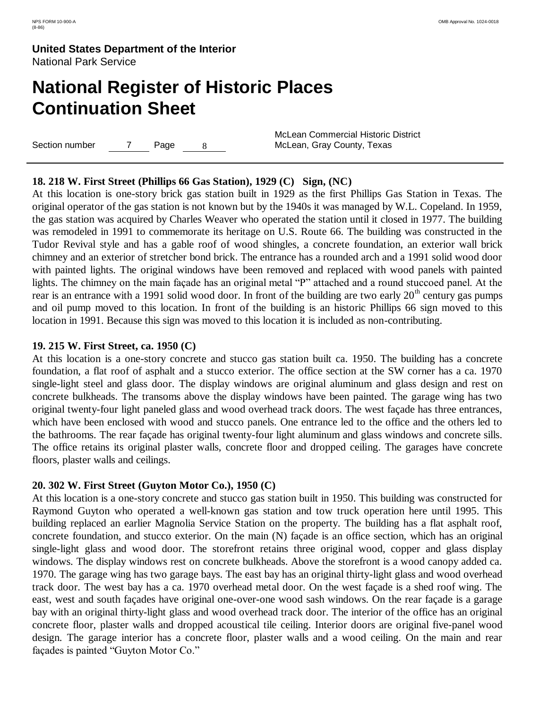# **National Register of Historic Places Continuation Sheet**

Section number 7 Page 8

McLean Commercial Historic District McLean, Gray County, Texas

### **18. 218 W. First Street (Phillips 66 Gas Station), 1929 (C) Sign, (NC)**

At this location is one-story brick gas station built in 1929 as the first Phillips Gas Station in Texas. The original operator of the gas station is not known but by the 1940s it was managed by W.L. Copeland. In 1959, the gas station was acquired by Charles Weaver who operated the station until it closed in 1977. The building was remodeled in 1991 to commemorate its heritage on U.S. Route 66. The building was constructed in the Tudor Revival style and has a gable roof of wood shingles, a concrete foundation, an exterior wall brick chimney and an exterior of stretcher bond brick. The entrance has a rounded arch and a 1991 solid wood door with painted lights. The original windows have been removed and replaced with wood panels with painted lights. The chimney on the main façade has an original metal "P" attached and a round stuccoed panel. At the rear is an entrance with a 1991 solid wood door. In front of the building are two early 20<sup>th</sup> century gas pumps and oil pump moved to this location. In front of the building is an historic Phillips 66 sign moved to this location in 1991. Because this sign was moved to this location it is included as non-contributing.

#### **19. 215 W. First Street, ca. 1950 (C)**

At this location is a one-story concrete and stucco gas station built ca. 1950. The building has a concrete foundation, a flat roof of asphalt and a stucco exterior. The office section at the SW corner has a ca. 1970 single-light steel and glass door. The display windows are original aluminum and glass design and rest on concrete bulkheads. The transoms above the display windows have been painted. The garage wing has two original twenty-four light paneled glass and wood overhead track doors. The west façade has three entrances, which have been enclosed with wood and stucco panels. One entrance led to the office and the others led to the bathrooms. The rear façade has original twenty-four light aluminum and glass windows and concrete sills. The office retains its original plaster walls, concrete floor and dropped ceiling. The garages have concrete floors, plaster walls and ceilings.

#### **20. 302 W. First Street (Guyton Motor Co.), 1950 (C)**

At this location is a one-story concrete and stucco gas station built in 1950. This building was constructed for Raymond Guyton who operated a well-known gas station and tow truck operation here until 1995. This building replaced an earlier Magnolia Service Station on the property. The building has a flat asphalt roof, concrete foundation, and stucco exterior. On the main (N) façade is an office section, which has an original single-light glass and wood door. The storefront retains three original wood, copper and glass display windows. The display windows rest on concrete bulkheads. Above the storefront is a wood canopy added ca. 1970. The garage wing has two garage bays. The east bay has an original thirty-light glass and wood overhead track door. The west bay has a ca. 1970 overhead metal door. On the west façade is a shed roof wing. The east, west and south façades have original one-over-one wood sash windows. On the rear façade is a garage bay with an original thirty-light glass and wood overhead track door. The interior of the office has an original concrete floor, plaster walls and dropped acoustical tile ceiling. Interior doors are original five-panel wood design. The garage interior has a concrete floor, plaster walls and a wood ceiling. On the main and rear façades is painted "Guyton Motor Co."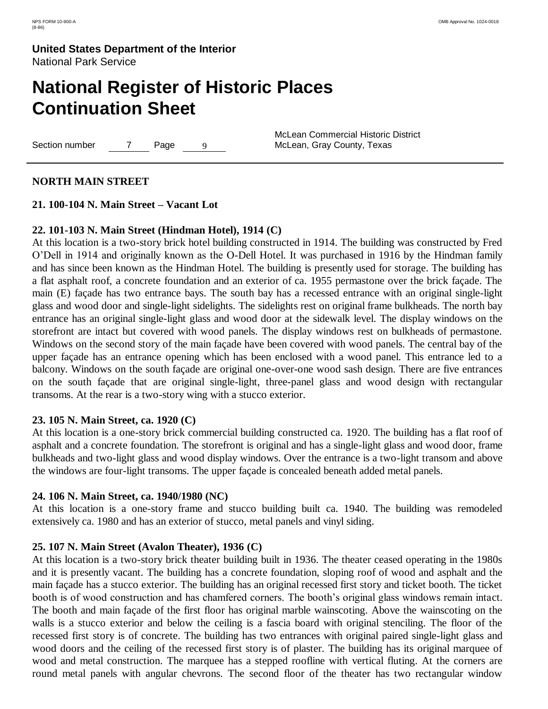# **National Register of Historic Places Continuation Sheet**

Section number 7 Page 9

McLean Commercial Historic District McLean, Gray County, Texas

#### **NORTH MAIN STREET**

**21. 100-104 N. Main Street – Vacant Lot**

#### **22. 101-103 N. Main Street (Hindman Hotel), 1914 (C)**

At this location is a two-story brick hotel building constructed in 1914. The building was constructed by Fred O'Dell in 1914 and originally known as the O-Dell Hotel. It was purchased in 1916 by the Hindman family and has since been known as the Hindman Hotel. The building is presently used for storage. The building has a flat asphalt roof, a concrete foundation and an exterior of ca. 1955 permastone over the brick façade. The main (E) façade has two entrance bays. The south bay has a recessed entrance with an original single-light glass and wood door and single-light sidelights. The sidelights rest on original frame bulkheads. The north bay entrance has an original single-light glass and wood door at the sidewalk level. The display windows on the storefront are intact but covered with wood panels. The display windows rest on bulkheads of permastone. Windows on the second story of the main façade have been covered with wood panels. The central bay of the upper façade has an entrance opening which has been enclosed with a wood panel. This entrance led to a balcony. Windows on the south façade are original one-over-one wood sash design. There are five entrances on the south façade that are original single-light, three-panel glass and wood design with rectangular transoms. At the rear is a two-story wing with a stucco exterior.

#### **23. 105 N. Main Street, ca. 1920 (C)**

At this location is a one-story brick commercial building constructed ca. 1920. The building has a flat roof of asphalt and a concrete foundation. The storefront is original and has a single-light glass and wood door, frame bulkheads and two-light glass and wood display windows. Over the entrance is a two-light transom and above the windows are four-light transoms. The upper façade is concealed beneath added metal panels.

#### **24. 106 N. Main Street, ca. 1940/1980 (NC)**

At this location is a one-story frame and stucco building built ca. 1940. The building was remodeled extensively ca. 1980 and has an exterior of stucco, metal panels and vinyl siding.

#### **25. 107 N. Main Street (Avalon Theater), 1936 (C)**

At this location is a two-story brick theater building built in 1936. The theater ceased operating in the 1980s and it is presently vacant. The building has a concrete foundation, sloping roof of wood and asphalt and the main façade has a stucco exterior. The building has an original recessed first story and ticket booth. The ticket booth is of wood construction and has chamfered corners. The booth's original glass windows remain intact. The booth and main façade of the first floor has original marble wainscoting. Above the wainscoting on the walls is a stucco exterior and below the ceiling is a fascia board with original stenciling. The floor of the recessed first story is of concrete. The building has two entrances with original paired single-light glass and wood doors and the ceiling of the recessed first story is of plaster. The building has its original marquee of wood and metal construction. The marquee has a stepped roofline with vertical fluting. At the corners are round metal panels with angular chevrons. The second floor of the theater has two rectangular window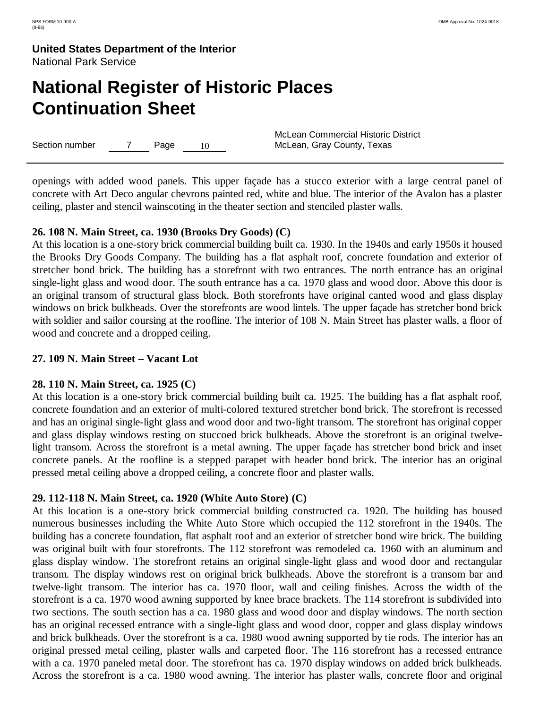# **National Register of Historic Places Continuation Sheet**

Section number 7 Page 10

McLean Commercial Historic District McLean, Gray County, Texas

openings with added wood panels. This upper façade has a stucco exterior with a large central panel of concrete with Art Deco angular chevrons painted red, white and blue. The interior of the Avalon has a plaster ceiling, plaster and stencil wainscoting in the theater section and stenciled plaster walls.

### **26. 108 N. Main Street, ca. 1930 (Brooks Dry Goods) (C)**

At this location is a one-story brick commercial building built ca. 1930. In the 1940s and early 1950s it housed the Brooks Dry Goods Company. The building has a flat asphalt roof, concrete foundation and exterior of stretcher bond brick. The building has a storefront with two entrances. The north entrance has an original single-light glass and wood door. The south entrance has a ca. 1970 glass and wood door. Above this door is an original transom of structural glass block. Both storefronts have original canted wood and glass display windows on brick bulkheads. Over the storefronts are wood lintels. The upper façade has stretcher bond brick with soldier and sailor coursing at the roofline. The interior of 108 N. Main Street has plaster walls, a floor of wood and concrete and a dropped ceiling.

### **27. 109 N. Main Street – Vacant Lot**

#### **28. 110 N. Main Street, ca. 1925 (C)**

At this location is a one-story brick commercial building built ca. 1925. The building has a flat asphalt roof, concrete foundation and an exterior of multi-colored textured stretcher bond brick. The storefront is recessed and has an original single-light glass and wood door and two-light transom. The storefront has original copper and glass display windows resting on stuccoed brick bulkheads. Above the storefront is an original twelvelight transom. Across the storefront is a metal awning. The upper façade has stretcher bond brick and inset concrete panels. At the roofline is a stepped parapet with header bond brick. The interior has an original pressed metal ceiling above a dropped ceiling, a concrete floor and plaster walls.

### **29. 112-118 N. Main Street, ca. 1920 (White Auto Store) (C)**

At this location is a one-story brick commercial building constructed ca. 1920. The building has housed numerous businesses including the White Auto Store which occupied the 112 storefront in the 1940s. The building has a concrete foundation, flat asphalt roof and an exterior of stretcher bond wire brick. The building was original built with four storefronts. The 112 storefront was remodeled ca. 1960 with an aluminum and glass display window. The storefront retains an original single-light glass and wood door and rectangular transom. The display windows rest on original brick bulkheads. Above the storefront is a transom bar and twelve-light transom. The interior has ca. 1970 floor, wall and ceiling finishes. Across the width of the storefront is a ca. 1970 wood awning supported by knee brace brackets. The 114 storefront is subdivided into two sections. The south section has a ca. 1980 glass and wood door and display windows. The north section has an original recessed entrance with a single-light glass and wood door, copper and glass display windows and brick bulkheads. Over the storefront is a ca. 1980 wood awning supported by tie rods. The interior has an original pressed metal ceiling, plaster walls and carpeted floor. The 116 storefront has a recessed entrance with a ca. 1970 paneled metal door. The storefront has ca. 1970 display windows on added brick bulkheads. Across the storefront is a ca. 1980 wood awning. The interior has plaster walls, concrete floor and original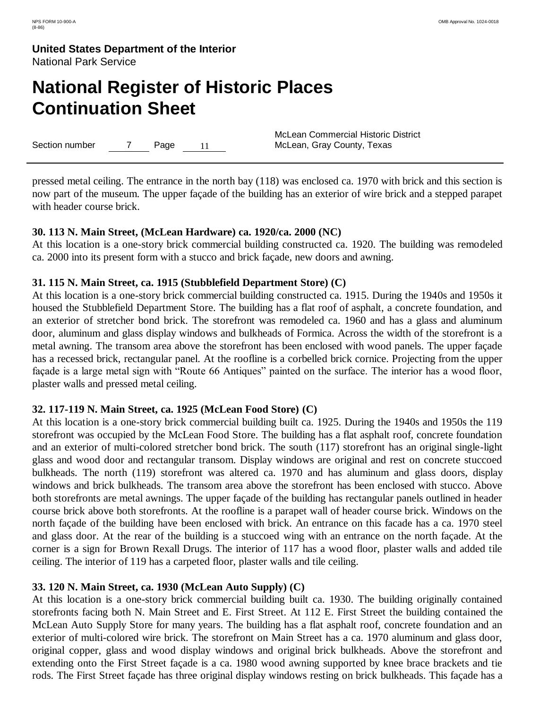# **National Register of Historic Places Continuation Sheet**

Section number 7 Page 11

McLean Commercial Historic District McLean, Gray County, Texas

pressed metal ceiling. The entrance in the north bay (118) was enclosed ca. 1970 with brick and this section is now part of the museum. The upper façade of the building has an exterior of wire brick and a stepped parapet with header course brick.

### **30. 113 N. Main Street, (McLean Hardware) ca. 1920/ca. 2000 (NC)**

At this location is a one-story brick commercial building constructed ca. 1920. The building was remodeled ca. 2000 into its present form with a stucco and brick façade, new doors and awning.

### **31. 115 N. Main Street, ca. 1915 (Stubblefield Department Store) (C)**

At this location is a one-story brick commercial building constructed ca. 1915. During the 1940s and 1950s it housed the Stubblefield Department Store. The building has a flat roof of asphalt, a concrete foundation, and an exterior of stretcher bond brick. The storefront was remodeled ca. 1960 and has a glass and aluminum door, aluminum and glass display windows and bulkheads of Formica. Across the width of the storefront is a metal awning. The transom area above the storefront has been enclosed with wood panels. The upper façade has a recessed brick, rectangular panel. At the roofline is a corbelled brick cornice. Projecting from the upper façade is a large metal sign with "Route 66 Antiques" painted on the surface. The interior has a wood floor, plaster walls and pressed metal ceiling.

### **32. 117-119 N. Main Street, ca. 1925 (McLean Food Store) (C)**

At this location is a one-story brick commercial building built ca. 1925. During the 1940s and 1950s the 119 storefront was occupied by the McLean Food Store. The building has a flat asphalt roof, concrete foundation and an exterior of multi-colored stretcher bond brick. The south (117) storefront has an original single-light glass and wood door and rectangular transom. Display windows are original and rest on concrete stuccoed bulkheads. The north (119) storefront was altered ca. 1970 and has aluminum and glass doors, display windows and brick bulkheads. The transom area above the storefront has been enclosed with stucco. Above both storefronts are metal awnings. The upper façade of the building has rectangular panels outlined in header course brick above both storefronts. At the roofline is a parapet wall of header course brick. Windows on the north façade of the building have been enclosed with brick. An entrance on this facade has a ca. 1970 steel and glass door. At the rear of the building is a stuccoed wing with an entrance on the north façade. At the corner is a sign for Brown Rexall Drugs. The interior of 117 has a wood floor, plaster walls and added tile ceiling. The interior of 119 has a carpeted floor, plaster walls and tile ceiling.

### **33. 120 N. Main Street, ca. 1930 (McLean Auto Supply) (C)**

At this location is a one-story brick commercial building built ca. 1930. The building originally contained storefronts facing both N. Main Street and E. First Street. At 112 E. First Street the building contained the McLean Auto Supply Store for many years. The building has a flat asphalt roof, concrete foundation and an exterior of multi-colored wire brick. The storefront on Main Street has a ca. 1970 aluminum and glass door, original copper, glass and wood display windows and original brick bulkheads. Above the storefront and extending onto the First Street façade is a ca. 1980 wood awning supported by knee brace brackets and tie rods. The First Street façade has three original display windows resting on brick bulkheads. This façade has a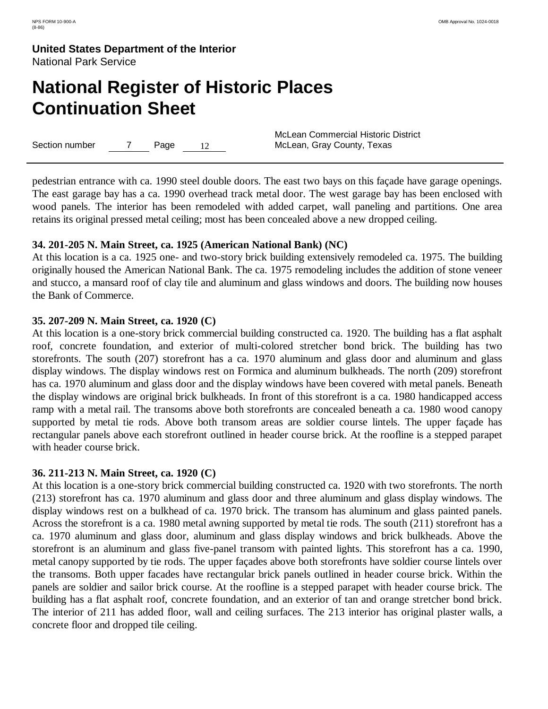# **National Register of Historic Places Continuation Sheet**

Section number 7 Page 12

McLean Commercial Historic District McLean, Gray County, Texas

pedestrian entrance with ca. 1990 steel double doors. The east two bays on this façade have garage openings. The east garage bay has a ca. 1990 overhead track metal door. The west garage bay has been enclosed with wood panels. The interior has been remodeled with added carpet, wall paneling and partitions. One area retains its original pressed metal ceiling; most has been concealed above a new dropped ceiling.

### **34. 201-205 N. Main Street, ca. 1925 (American National Bank) (NC)**

At this location is a ca. 1925 one- and two-story brick building extensively remodeled ca. 1975. The building originally housed the American National Bank. The ca. 1975 remodeling includes the addition of stone veneer and stucco, a mansard roof of clay tile and aluminum and glass windows and doors. The building now houses the Bank of Commerce.

### **35. 207-209 N. Main Street, ca. 1920 (C)**

At this location is a one-story brick commercial building constructed ca. 1920. The building has a flat asphalt roof, concrete foundation, and exterior of multi-colored stretcher bond brick. The building has two storefronts. The south (207) storefront has a ca. 1970 aluminum and glass door and aluminum and glass display windows. The display windows rest on Formica and aluminum bulkheads. The north (209) storefront has ca. 1970 aluminum and glass door and the display windows have been covered with metal panels. Beneath the display windows are original brick bulkheads. In front of this storefront is a ca. 1980 handicapped access ramp with a metal rail. The transoms above both storefronts are concealed beneath a ca. 1980 wood canopy supported by metal tie rods. Above both transom areas are soldier course lintels. The upper façade has rectangular panels above each storefront outlined in header course brick. At the roofline is a stepped parapet with header course brick.

#### **36. 211-213 N. Main Street, ca. 1920 (C)**

At this location is a one-story brick commercial building constructed ca. 1920 with two storefronts. The north (213) storefront has ca. 1970 aluminum and glass door and three aluminum and glass display windows. The display windows rest on a bulkhead of ca. 1970 brick. The transom has aluminum and glass painted panels. Across the storefront is a ca. 1980 metal awning supported by metal tie rods. The south (211) storefront has a ca. 1970 aluminum and glass door, aluminum and glass display windows and brick bulkheads. Above the storefront is an aluminum and glass five-panel transom with painted lights. This storefront has a ca. 1990, metal canopy supported by tie rods. The upper façades above both storefronts have soldier course lintels over the transoms. Both upper facades have rectangular brick panels outlined in header course brick. Within the panels are soldier and sailor brick course. At the roofline is a stepped parapet with header course brick. The building has a flat asphalt roof, concrete foundation, and an exterior of tan and orange stretcher bond brick. The interior of 211 has added floor, wall and ceiling surfaces. The 213 interior has original plaster walls, a concrete floor and dropped tile ceiling.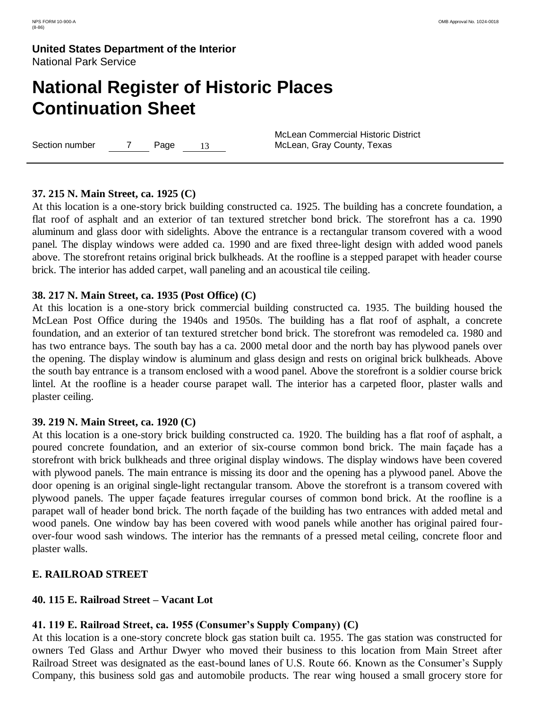# **National Register of Historic Places Continuation Sheet**

Section number 7 Page 13

McLean Commercial Historic District McLean, Gray County, Texas

#### **37. 215 N. Main Street, ca. 1925 (C)**

At this location is a one-story brick building constructed ca. 1925. The building has a concrete foundation, a flat roof of asphalt and an exterior of tan textured stretcher bond brick. The storefront has a ca. 1990 aluminum and glass door with sidelights. Above the entrance is a rectangular transom covered with a wood panel. The display windows were added ca. 1990 and are fixed three-light design with added wood panels above. The storefront retains original brick bulkheads. At the roofline is a stepped parapet with header course brick. The interior has added carpet, wall paneling and an acoustical tile ceiling.

#### **38. 217 N. Main Street, ca. 1935 (Post Office) (C)**

At this location is a one-story brick commercial building constructed ca. 1935. The building housed the McLean Post Office during the 1940s and 1950s. The building has a flat roof of asphalt, a concrete foundation, and an exterior of tan textured stretcher bond brick. The storefront was remodeled ca. 1980 and has two entrance bays. The south bay has a ca. 2000 metal door and the north bay has plywood panels over the opening. The display window is aluminum and glass design and rests on original brick bulkheads. Above the south bay entrance is a transom enclosed with a wood panel. Above the storefront is a soldier course brick lintel. At the roofline is a header course parapet wall. The interior has a carpeted floor, plaster walls and plaster ceiling.

#### **39. 219 N. Main Street, ca. 1920 (C)**

At this location is a one-story brick building constructed ca. 1920. The building has a flat roof of asphalt, a poured concrete foundation, and an exterior of six-course common bond brick. The main façade has a storefront with brick bulkheads and three original display windows. The display windows have been covered with plywood panels. The main entrance is missing its door and the opening has a plywood panel. Above the door opening is an original single-light rectangular transom. Above the storefront is a transom covered with plywood panels. The upper façade features irregular courses of common bond brick. At the roofline is a parapet wall of header bond brick. The north façade of the building has two entrances with added metal and wood panels. One window bay has been covered with wood panels while another has original paired fourover-four wood sash windows. The interior has the remnants of a pressed metal ceiling, concrete floor and plaster walls.

### **E. RAILROAD STREET**

### **40. 115 E. Railroad Street – Vacant Lot**

### **41. 119 E. Railroad Street, ca. 1955 (Consumer's Supply Company) (C)**

At this location is a one-story concrete block gas station built ca. 1955. The gas station was constructed for owners Ted Glass and Arthur Dwyer who moved their business to this location from Main Street after Railroad Street was designated as the east-bound lanes of U.S. Route 66. Known as the Consumer's Supply Company, this business sold gas and automobile products. The rear wing housed a small grocery store for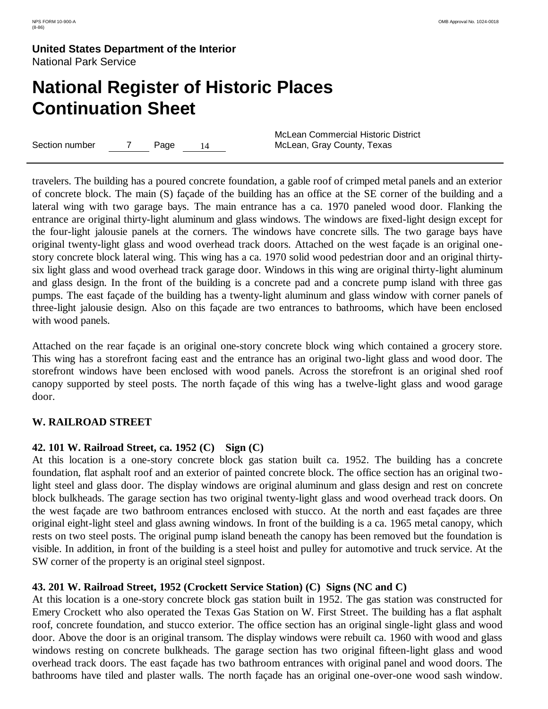# **National Register of Historic Places Continuation Sheet**

Section number 7 Page 14

McLean Commercial Historic District McLean, Gray County, Texas

travelers. The building has a poured concrete foundation, a gable roof of crimped metal panels and an exterior of concrete block. The main (S) façade of the building has an office at the SE corner of the building and a lateral wing with two garage bays. The main entrance has a ca. 1970 paneled wood door. Flanking the entrance are original thirty-light aluminum and glass windows. The windows are fixed-light design except for the four-light jalousie panels at the corners. The windows have concrete sills. The two garage bays have original twenty-light glass and wood overhead track doors. Attached on the west façade is an original onestory concrete block lateral wing. This wing has a ca. 1970 solid wood pedestrian door and an original thirtysix light glass and wood overhead track garage door. Windows in this wing are original thirty-light aluminum and glass design. In the front of the building is a concrete pad and a concrete pump island with three gas pumps. The east façade of the building has a twenty-light aluminum and glass window with corner panels of three-light jalousie design. Also on this façade are two entrances to bathrooms, which have been enclosed with wood panels.

Attached on the rear façade is an original one-story concrete block wing which contained a grocery store. This wing has a storefront facing east and the entrance has an original two-light glass and wood door. The storefront windows have been enclosed with wood panels. Across the storefront is an original shed roof canopy supported by steel posts. The north façade of this wing has a twelve-light glass and wood garage door.

### **W. RAILROAD STREET**

### **42. 101 W. Railroad Street, ca. 1952 (C) Sign (C)**

At this location is a one-story concrete block gas station built ca. 1952. The building has a concrete foundation, flat asphalt roof and an exterior of painted concrete block. The office section has an original twolight steel and glass door. The display windows are original aluminum and glass design and rest on concrete block bulkheads. The garage section has two original twenty-light glass and wood overhead track doors. On the west façade are two bathroom entrances enclosed with stucco. At the north and east façades are three original eight-light steel and glass awning windows. In front of the building is a ca. 1965 metal canopy, which rests on two steel posts. The original pump island beneath the canopy has been removed but the foundation is visible. In addition, in front of the building is a steel hoist and pulley for automotive and truck service. At the SW corner of the property is an original steel signpost.

### **43. 201 W. Railroad Street, 1952 (Crockett Service Station) (C) Signs (NC and C)**

At this location is a one-story concrete block gas station built in 1952. The gas station was constructed for Emery Crockett who also operated the Texas Gas Station on W. First Street. The building has a flat asphalt roof, concrete foundation, and stucco exterior. The office section has an original single-light glass and wood door. Above the door is an original transom. The display windows were rebuilt ca. 1960 with wood and glass windows resting on concrete bulkheads. The garage section has two original fifteen-light glass and wood overhead track doors. The east façade has two bathroom entrances with original panel and wood doors. The bathrooms have tiled and plaster walls. The north façade has an original one-over-one wood sash window.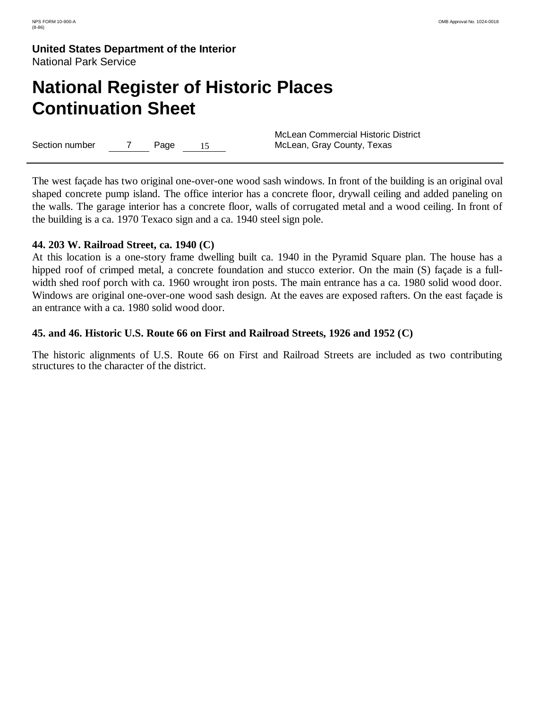# **National Register of Historic Places Continuation Sheet**

Section number 7 Page 15

McLean Commercial Historic District McLean, Gray County, Texas

The west façade has two original one-over-one wood sash windows. In front of the building is an original oval shaped concrete pump island. The office interior has a concrete floor, drywall ceiling and added paneling on the walls. The garage interior has a concrete floor, walls of corrugated metal and a wood ceiling. In front of the building is a ca. 1970 Texaco sign and a ca. 1940 steel sign pole.

### **44. 203 W. Railroad Street, ca. 1940 (C)**

At this location is a one-story frame dwelling built ca. 1940 in the Pyramid Square plan. The house has a hipped roof of crimped metal, a concrete foundation and stucco exterior. On the main (S) façade is a fullwidth shed roof porch with ca. 1960 wrought iron posts. The main entrance has a ca. 1980 solid wood door. Windows are original one-over-one wood sash design. At the eaves are exposed rafters. On the east façade is an entrance with a ca. 1980 solid wood door.

### **45. and 46. Historic U.S. Route 66 on First and Railroad Streets, 1926 and 1952 (C)**

The historic alignments of U.S. Route 66 on First and Railroad Streets are included as two contributing structures to the character of the district.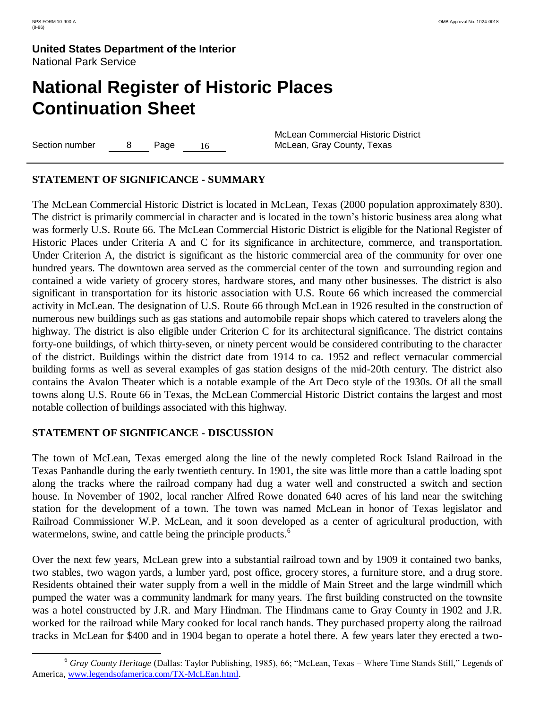$\overline{a}$ 

**United States Department of the Interior** National Park Service

# **National Register of Historic Places Continuation Sheet**

Section number 8 Page 16

McLean Commercial Historic District McLean, Gray County, Texas

### **STATEMENT OF SIGNIFICANCE - SUMMARY**

The McLean Commercial Historic District is located in McLean, Texas (2000 population approximately 830). The district is primarily commercial in character and is located in the town's historic business area along what was formerly U.S. Route 66. The McLean Commercial Historic District is eligible for the National Register of Historic Places under Criteria A and C for its significance in architecture, commerce, and transportation. Under Criterion A, the district is significant as the historic commercial area of the community for over one hundred years. The downtown area served as the commercial center of the town and surrounding region and contained a wide variety of grocery stores, hardware stores, and many other businesses. The district is also significant in transportation for its historic association with U.S. Route 66 which increased the commercial activity in McLean. The designation of U.S. Route 66 through McLean in 1926 resulted in the construction of numerous new buildings such as gas stations and automobile repair shops which catered to travelers along the highway. The district is also eligible under Criterion C for its architectural significance. The district contains forty-one buildings, of which thirty-seven, or ninety percent would be considered contributing to the character of the district. Buildings within the district date from 1914 to ca. 1952 and reflect vernacular commercial building forms as well as several examples of gas station designs of the mid-20th century. The district also contains the Avalon Theater which is a notable example of the Art Deco style of the 1930s. Of all the small towns along U.S. Route 66 in Texas, the McLean Commercial Historic District contains the largest and most notable collection of buildings associated with this highway.

### **STATEMENT OF SIGNIFICANCE - DISCUSSION**

The town of McLean, Texas emerged along the line of the newly completed Rock Island Railroad in the Texas Panhandle during the early twentieth century. In 1901, the site was little more than a cattle loading spot along the tracks where the railroad company had dug a water well and constructed a switch and section house. In November of 1902, local rancher Alfred Rowe donated 640 acres of his land near the switching station for the development of a town. The town was named McLean in honor of Texas legislator and Railroad Commissioner W.P. McLean, and it soon developed as a center of agricultural production, with watermelons, swine, and cattle being the principle products.<sup>6</sup>

Over the next few years, McLean grew into a substantial railroad town and by 1909 it contained two banks, two stables, two wagon yards, a lumber yard, post office, grocery stores, a furniture store, and a drug store. Residents obtained their water supply from a well in the middle of Main Street and the large windmill which pumped the water was a community landmark for many years. The first building constructed on the townsite was a hotel constructed by J.R. and Mary Hindman. The Hindmans came to Gray County in 1902 and J.R. worked for the railroad while Mary cooked for local ranch hands. They purchased property along the railroad tracks in McLean for \$400 and in 1904 began to operate a hotel there. A few years later they erected a two-

<sup>6</sup> *Gray County Heritage* (Dallas: Taylor Publishing, 1985), 66; "McLean, Texas – Where Time Stands Still," Legends of America, [www.legendsofamerica.com/TX-McLEan.html.](http://www.legendsofamerica.com/TX-McLEan.html)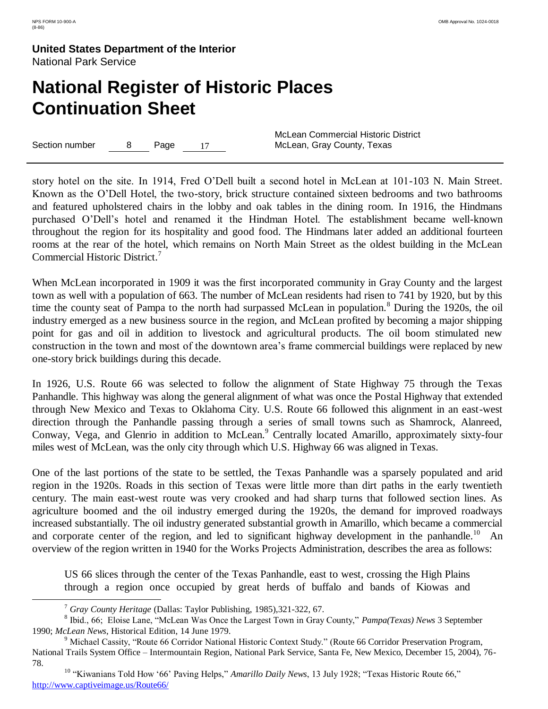$\overline{\phantom{a}}$ 

**United States Department of the Interior** National Park Service

## **National Register of Historic Places Continuation Sheet**

Section number 8 Page 17

McLean Commercial Historic District McLean, Gray County, Texas

story hotel on the site. In 1914, Fred O'Dell built a second hotel in McLean at 101-103 N. Main Street. Known as the O'Dell Hotel, the two-story, brick structure contained sixteen bedrooms and two bathrooms and featured upholstered chairs in the lobby and oak tables in the dining room. In 1916, the Hindmans purchased O'Dell's hotel and renamed it the Hindman Hotel. The establishment became well-known throughout the region for its hospitality and good food. The Hindmans later added an additional fourteen rooms at the rear of the hotel, which remains on North Main Street as the oldest building in the McLean Commercial Historic District.<sup>7</sup>

When McLean incorporated in 1909 it was the first incorporated community in Gray County and the largest town as well with a population of 663. The number of McLean residents had risen to 741 by 1920, but by this time the county seat of Pampa to the north had surpassed McLean in population.<sup>8</sup> During the 1920s, the oil industry emerged as a new business source in the region, and McLean profited by becoming a major shipping point for gas and oil in addition to livestock and agricultural products. The oil boom stimulated new construction in the town and most of the downtown area's frame commercial buildings were replaced by new one-story brick buildings during this decade.

In 1926, U.S. Route 66 was selected to follow the alignment of State Highway 75 through the Texas Panhandle. This highway was along the general alignment of what was once the Postal Highway that extended through New Mexico and Texas to Oklahoma City. U.S. Route 66 followed this alignment in an east-west direction through the Panhandle passing through a series of small towns such as Shamrock, Alanreed, Conway, Vega, and Glenrio in addition to McLean.<sup>9</sup> Centrally located Amarillo, approximately sixty-four miles west of McLean, was the only city through which U.S. Highway 66 was aligned in Texas.

One of the last portions of the state to be settled, the Texas Panhandle was a sparsely populated and arid region in the 1920s. Roads in this section of Texas were little more than dirt paths in the early twentieth century. The main east-west route was very crooked and had sharp turns that followed section lines. As agriculture boomed and the oil industry emerged during the 1920s, the demand for improved roadways increased substantially. The oil industry generated substantial growth in Amarillo, which became a commercial and corporate center of the region, and led to significant highway development in the panhandle.<sup>10</sup> An overview of the region written in 1940 for the Works Projects Administration, describes the area as follows:

US 66 slices through the center of the Texas Panhandle, east to west, crossing the High Plains through a region once occupied by great herds of buffalo and bands of Kiowas and

<sup>7</sup> *Gray County Heritage* (Dallas: Taylor Publishing, 1985),321-322, 67.

<sup>8</sup> Ibid., 66; Eloise Lane, "McLean Was Once the Largest Town in Gray County," *Pampa(Texas) News* 3 September 1990; *McLean News*, Historical Edition, 14 June 1979.

<sup>&</sup>lt;sup>9</sup> Michael Cassity, "Route 66 Corridor National Historic Context Study." (Route 66 Corridor Preservation Program, National Trails System Office – Intermountain Region, National Park Service, Santa Fe, New Mexico, December 15, 2004), 76- 78.

<sup>&</sup>lt;sup>10</sup> "Kiwanians Told How '66' Paving Helps," *Amarillo Daily News*, 13 July 1928; "Texas Historic Route 66," <http://www.captiveimage.us/Route66/>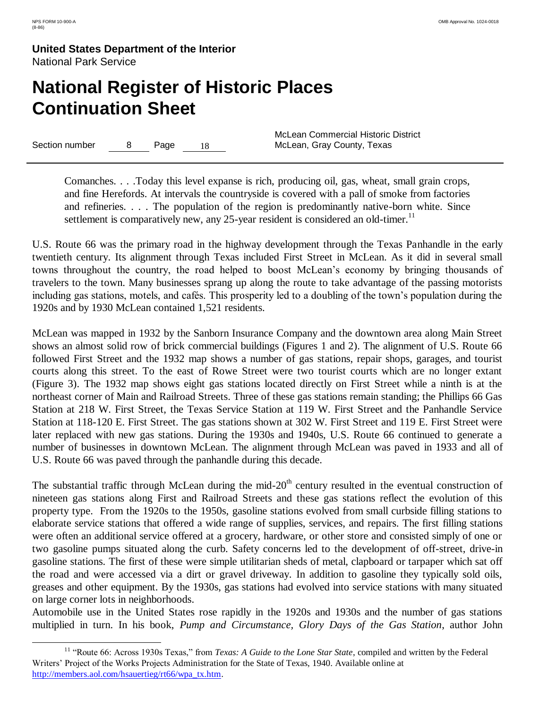$\overline{\phantom{a}}$ 

**United States Department of the Interior** National Park Service

# **National Register of Historic Places Continuation Sheet**

Section number 8 Page 18

McLean Commercial Historic District McLean, Gray County, Texas

Comanches. . . .Today this level expanse is rich, producing oil, gas, wheat, small grain crops, and fine Herefords. At intervals the countryside is covered with a pall of smoke from factories and refineries. . . . The population of the region is predominantly native-born white. Since settlement is comparatively new, any  $25$ -year resident is considered an old-timer.<sup>11</sup>

U.S. Route 66 was the primary road in the highway development through the Texas Panhandle in the early twentieth century. Its alignment through Texas included First Street in McLean. As it did in several small towns throughout the country, the road helped to boost McLean's economy by bringing thousands of travelers to the town. Many businesses sprang up along the route to take advantage of the passing motorists including gas stations, motels, and cafés. This prosperity led to a doubling of the town's population during the 1920s and by 1930 McLean contained 1,521 residents.

McLean was mapped in 1932 by the Sanborn Insurance Company and the downtown area along Main Street shows an almost solid row of brick commercial buildings (Figures 1 and 2). The alignment of U.S. Route 66 followed First Street and the 1932 map shows a number of gas stations, repair shops, garages, and tourist courts along this street. To the east of Rowe Street were two tourist courts which are no longer extant (Figure 3). The 1932 map shows eight gas stations located directly on First Street while a ninth is at the northeast corner of Main and Railroad Streets. Three of these gas stations remain standing; the Phillips 66 Gas Station at 218 W. First Street, the Texas Service Station at 119 W. First Street and the Panhandle Service Station at 118-120 E. First Street. The gas stations shown at 302 W. First Street and 119 E. First Street were later replaced with new gas stations. During the 1930s and 1940s, U.S. Route 66 continued to generate a number of businesses in downtown McLean. The alignment through McLean was paved in 1933 and all of U.S. Route 66 was paved through the panhandle during this decade.

The substantial traffic through McLean during the mid- $20<sup>th</sup>$  century resulted in the eventual construction of nineteen gas stations along First and Railroad Streets and these gas stations reflect the evolution of this property type. From the 1920s to the 1950s, gasoline stations evolved from small curbside filling stations to elaborate service stations that offered a wide range of supplies, services, and repairs. The first filling stations were often an additional service offered at a grocery, hardware, or other store and consisted simply of one or two gasoline pumps situated along the curb. Safety concerns led to the development of off-street, drive-in gasoline stations. The first of these were simple utilitarian sheds of metal, clapboard or tarpaper which sat off the road and were accessed via a dirt or gravel driveway. In addition to gasoline they typically sold oils, greases and other equipment. By the 1930s, gas stations had evolved into service stations with many situated on large corner lots in neighborhoods.

Automobile use in the United States rose rapidly in the 1920s and 1930s and the number of gas stations multiplied in turn. In his book, *Pump and Circumstance, Glory Days of the Gas Station*, author John

<sup>&</sup>lt;sup>11</sup> "Route 66: Across 1930s Texas," from *Texas: A Guide to the Lone Star State*, compiled and written by the Federal Writers' Project of the Works Projects Administration for the State of Texas, 1940. Available online at [http://members.aol.com/hsauertieg/rt66/wpa\\_tx.htm.](http://members.aol.com/hsauertieg/rt66/wpa_tx.htm)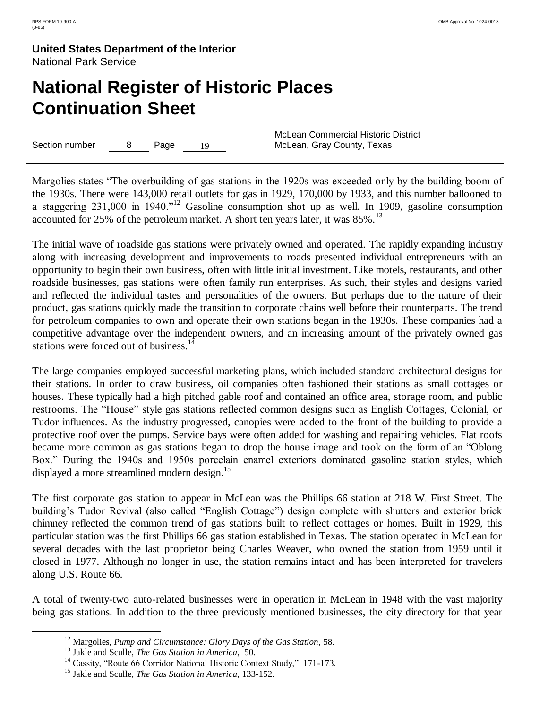# **National Register of Historic Places Continuation Sheet**

Section number 8 Page 19

McLean Commercial Historic District McLean, Gray County, Texas

Margolies states "The overbuilding of gas stations in the 1920s was exceeded only by the building boom of the 1930s. There were 143,000 retail outlets for gas in 1929, 170,000 by 1933, and this number ballooned to a staggering 231,000 in 1940."<sup>12</sup> Gasoline consumption shot up as well. In 1909, gasoline consumption accounted for 25% of the petroleum market. A short ten years later, it was  $85\%$ .<sup>13</sup>

The initial wave of roadside gas stations were privately owned and operated. The rapidly expanding industry along with increasing development and improvements to roads presented individual entrepreneurs with an opportunity to begin their own business, often with little initial investment. Like motels, restaurants, and other roadside businesses, gas stations were often family run enterprises. As such, their styles and designs varied and reflected the individual tastes and personalities of the owners. But perhaps due to the nature of their product, gas stations quickly made the transition to corporate chains well before their counterparts. The trend for petroleum companies to own and operate their own stations began in the 1930s. These companies had a competitive advantage over the independent owners, and an increasing amount of the privately owned gas stations were forced out of business.<sup>14</sup>

The large companies employed successful marketing plans, which included standard architectural designs for their stations. In order to draw business, oil companies often fashioned their stations as small cottages or houses. These typically had a high pitched gable roof and contained an office area, storage room, and public restrooms. The "House" style gas stations reflected common designs such as English Cottages, Colonial, or Tudor influences. As the industry progressed, canopies were added to the front of the building to provide a protective roof over the pumps. Service bays were often added for washing and repairing vehicles. Flat roofs became more common as gas stations began to drop the house image and took on the form of an "Oblong Box." During the 1940s and 1950s porcelain enamel exteriors dominated gasoline station styles, which displayed a more streamlined modern design.<sup>15</sup>

The first corporate gas station to appear in McLean was the Phillips 66 station at 218 W. First Street. The building's Tudor Revival (also called "English Cottage") design complete with shutters and exterior brick chimney reflected the common trend of gas stations built to reflect cottages or homes. Built in 1929, this particular station was the first Phillips 66 gas station established in Texas. The station operated in McLean for several decades with the last proprietor being Charles Weaver, who owned the station from 1959 until it closed in 1977. Although no longer in use, the station remains intact and has been interpreted for travelers along U.S. Route 66.

A total of twenty-two auto-related businesses were in operation in McLean in 1948 with the vast majority being gas stations. In addition to the three previously mentioned businesses, the city directory for that year

 $\overline{\phantom{a}}$ 

<sup>12</sup> Margolies, *Pump and Circumstance: Glory Days of the Gas Station*, 58.

<sup>13</sup> Jakle and Sculle, *The Gas Station in America*, 50.

<sup>&</sup>lt;sup>14</sup> Cassity, "Route 66 Corridor National Historic Context Study," 171-173.

<sup>15</sup> Jakle and Sculle*, The Gas Station in America,* 133-152.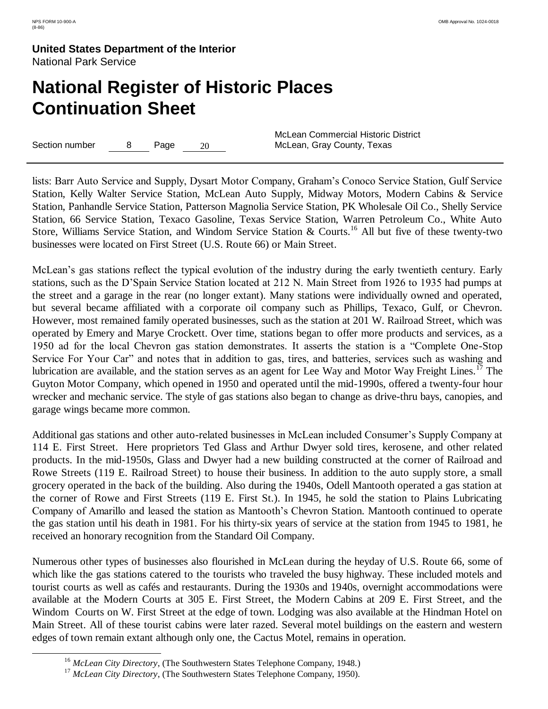$\overline{a}$ 

**United States Department of the Interior** National Park Service

# **National Register of Historic Places Continuation Sheet**

Section number 8 Page 20

McLean Commercial Historic District McLean, Gray County, Texas

lists: Barr Auto Service and Supply, Dysart Motor Company, Graham's Conoco Service Station, Gulf Service Station, Kelly Walter Service Station, McLean Auto Supply, Midway Motors, Modern Cabins & Service Station, Panhandle Service Station, Patterson Magnolia Service Station, PK Wholesale Oil Co., Shelly Service Station, 66 Service Station, Texaco Gasoline, Texas Service Station, Warren Petroleum Co., White Auto Store, Williams Service Station, and Windom Service Station & Courts.<sup>16</sup> All but five of these twenty-two businesses were located on First Street (U.S. Route 66) or Main Street.

McLean's gas stations reflect the typical evolution of the industry during the early twentieth century. Early stations, such as the D'Spain Service Station located at 212 N. Main Street from 1926 to 1935 had pumps at the street and a garage in the rear (no longer extant). Many stations were individually owned and operated, but several became affiliated with a corporate oil company such as Phillips, Texaco, Gulf, or Chevron. However, most remained family operated businesses, such as the station at 201 W. Railroad Street, which was operated by Emery and Marye Crockett. Over time, stations began to offer more products and services, as a 1950 ad for the local Chevron gas station demonstrates. It asserts the station is a "Complete One-Stop Service For Your Car" and notes that in addition to gas, tires, and batteries, services such as washing and lubrication are available, and the station serves as an agent for Lee Way and Motor Way Freight Lines.<sup>17</sup> The Guyton Motor Company, which opened in 1950 and operated until the mid-1990s, offered a twenty-four hour wrecker and mechanic service. The style of gas stations also began to change as drive-thru bays, canopies, and garage wings became more common.

Additional gas stations and other auto-related businesses in McLean included Consumer's Supply Company at 114 E. First Street. Here proprietors Ted Glass and Arthur Dwyer sold tires, kerosene, and other related products. In the mid-1950s, Glass and Dwyer had a new building constructed at the corner of Railroad and Rowe Streets (119 E. Railroad Street) to house their business. In addition to the auto supply store, a small grocery operated in the back of the building. Also during the 1940s, Odell Mantooth operated a gas station at the corner of Rowe and First Streets (119 E. First St.). In 1945, he sold the station to Plains Lubricating Company of Amarillo and leased the station as Mantooth's Chevron Station. Mantooth continued to operate the gas station until his death in 1981. For his thirty-six years of service at the station from 1945 to 1981, he received an honorary recognition from the Standard Oil Company.

Numerous other types of businesses also flourished in McLean during the heyday of U.S. Route 66, some of which like the gas stations catered to the tourists who traveled the busy highway. These included motels and tourist courts as well as cafés and restaurants. During the 1930s and 1940s, overnight accommodations were available at the Modern Courts at 305 E. First Street, the Modern Cabins at 209 E. First Street, and the Windom Courts on W. First Street at the edge of town. Lodging was also available at the Hindman Hotel on Main Street. All of these tourist cabins were later razed. Several motel buildings on the eastern and western edges of town remain extant although only one, the Cactus Motel, remains in operation.

<sup>16</sup> *McLean City Directory*, (The Southwestern States Telephone Company, 1948.)

<sup>&</sup>lt;sup>17</sup> *McLean City Directory*, (The Southwestern States Telephone Company, 1950).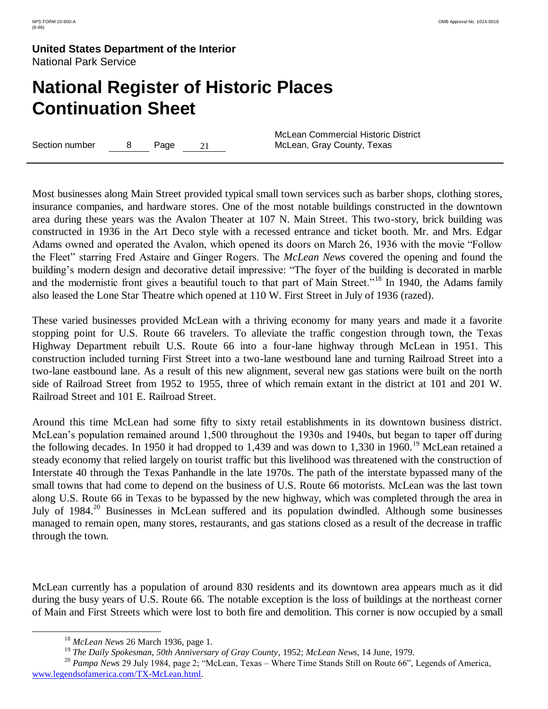# **National Register of Historic Places Continuation Sheet**

Section number 8 Page 21

McLean Commercial Historic District McLean, Gray County, Texas

Most businesses along Main Street provided typical small town services such as barber shops, clothing stores, insurance companies, and hardware stores. One of the most notable buildings constructed in the downtown area during these years was the Avalon Theater at 107 N. Main Street. This two-story, brick building was constructed in 1936 in the Art Deco style with a recessed entrance and ticket booth. Mr. and Mrs. Edgar Adams owned and operated the Avalon, which opened its doors on March 26, 1936 with the movie "Follow the Fleet" starring Fred Astaire and Ginger Rogers. The *McLean News* covered the opening and found the building's modern design and decorative detail impressive: "The foyer of the building is decorated in marble and the modernistic front gives a beautiful touch to that part of Main Street."<sup>18</sup> In 1940, the Adams family also leased the Lone Star Theatre which opened at 110 W. First Street in July of 1936 (razed).

These varied businesses provided McLean with a thriving economy for many years and made it a favorite stopping point for U.S. Route 66 travelers. To alleviate the traffic congestion through town, the Texas Highway Department rebuilt U.S. Route 66 into a four-lane highway through McLean in 1951. This construction included turning First Street into a two-lane westbound lane and turning Railroad Street into a two-lane eastbound lane. As a result of this new alignment, several new gas stations were built on the north side of Railroad Street from 1952 to 1955, three of which remain extant in the district at 101 and 201 W. Railroad Street and 101 E. Railroad Street.

Around this time McLean had some fifty to sixty retail establishments in its downtown business district. McLean's population remained around 1,500 throughout the 1930s and 1940s, but began to taper off during the following decades. In 1950 it had dropped to 1,439 and was down to 1,330 in 1960.<sup>19</sup> McLean retained a steady economy that relied largely on tourist traffic but this livelihood was threatened with the construction of Interstate 40 through the Texas Panhandle in the late 1970s. The path of the interstate bypassed many of the small towns that had come to depend on the business of U.S. Route 66 motorists. McLean was the last town along U.S. Route 66 in Texas to be bypassed by the new highway, which was completed through the area in July of 1984.<sup>20</sup> Businesses in McLean suffered and its population dwindled. Although some businesses managed to remain open, many stores, restaurants, and gas stations closed as a result of the decrease in traffic through the town.

McLean currently has a population of around 830 residents and its downtown area appears much as it did during the busy years of U.S. Route 66. The notable exception is the loss of buildings at the northeast corner of Main and First Streets which were lost to both fire and demolition. This corner is now occupied by a small

 $\overline{\phantom{a}}$ 

<sup>18</sup> *McLean News* 26 March 1936, page 1.

<sup>19</sup> *The Daily Spokesman, 50th Anniversary of Gray County*, 1952; *McLean News*, 14 June, 1979.

<sup>&</sup>lt;sup>20</sup> *Pampa News* 29 July 1984, page 2; "McLean, Texas – Where Time Stands Still on Route 66", Legends of America, [www.legendsofamerica.com/TX-McLean.html.](http://www.legendsofamerica.com/TX-McLean.html)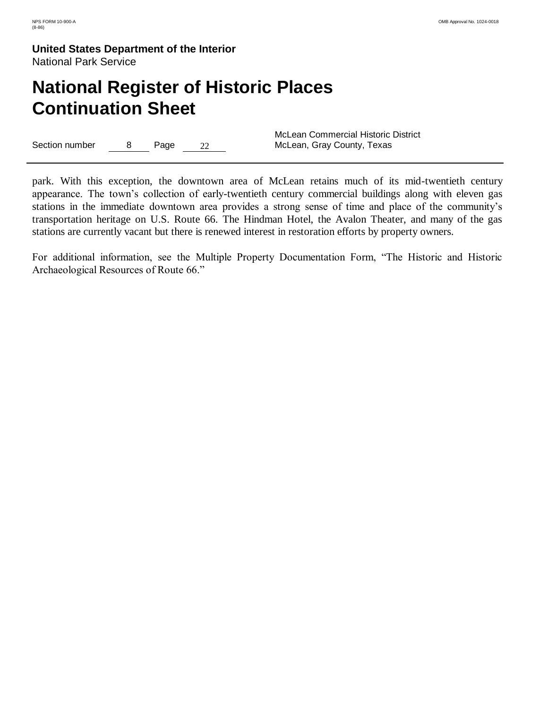## **National Register of Historic Places Continuation Sheet**

Section number 8 Page 22

McLean Commercial Historic District McLean, Gray County, Texas

park. With this exception, the downtown area of McLean retains much of its mid-twentieth century appearance. The town's collection of early-twentieth century commercial buildings along with eleven gas stations in the immediate downtown area provides a strong sense of time and place of the community's transportation heritage on U.S. Route 66. The Hindman Hotel, the Avalon Theater, and many of the gas stations are currently vacant but there is renewed interest in restoration efforts by property owners.

For additional information, see the Multiple Property Documentation Form, "The Historic and Historic Archaeological Resources of Route 66."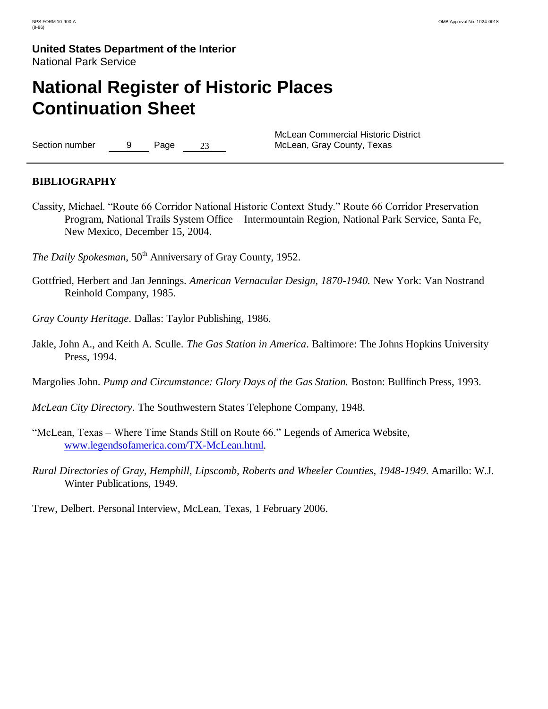### **National Register of Historic Places Continuation Sheet**

Section number 9 Page 23

McLean Commercial Historic District McLean, Gray County, Texas

### **BIBLIOGRAPHY**

- Cassity, Michael. "Route 66 Corridor National Historic Context Study." Route 66 Corridor Preservation Program, National Trails System Office – Intermountain Region, National Park Service, Santa Fe, New Mexico, December 15, 2004.
- *The Daily Spokesman*, 50<sup>th</sup> Anniversary of Gray County, 1952.
- Gottfried, Herbert and Jan Jennings. *American Vernacular Design, 1870-1940.* New York: Van Nostrand Reinhold Company, 1985.
- *Gray County Heritage*. Dallas: Taylor Publishing, 1986.
- Jakle, John A., and Keith A. Sculle. *The Gas Station in America*. Baltimore: The Johns Hopkins University Press, 1994.
- Margolies John. *Pump and Circumstance: Glory Days of the Gas Station.* Boston: Bullfinch Press, 1993.
- *McLean City Directory*. The Southwestern States Telephone Company, 1948.
- "McLean, Texas Where Time Stands Still on Route 66." Legends of America Website, [www.legendsofamerica.com/TX-McLean.html.](http://www.legendsofamerica.com/TX-McLean.html)
- *Rural Directories of Gray, Hemphill, Lipscomb, Roberts and Wheeler Counties, 1948-1949*. Amarillo: W.J. Winter Publications, 1949.
- Trew, Delbert. Personal Interview, McLean, Texas, 1 February 2006.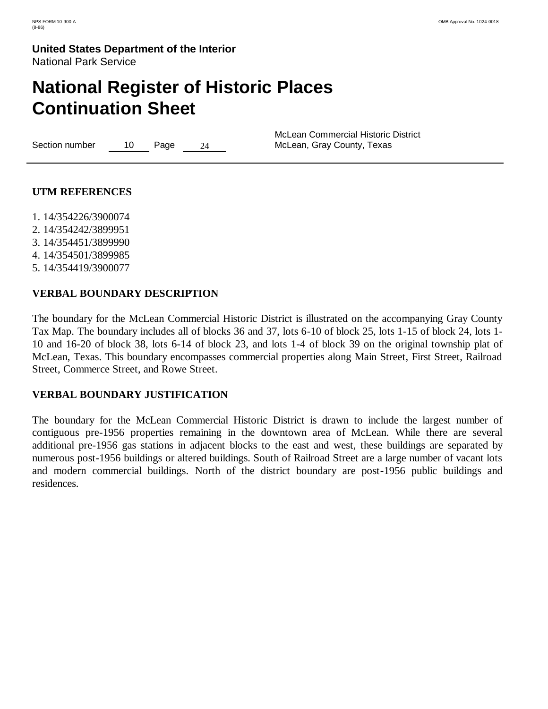# **National Register of Historic Places Continuation Sheet**

Section number 10 Page 24

McLean Commercial Historic District McLean, Gray County, Texas

### **UTM REFERENCES**

1. 14/354226/3900074 2. 14/354242/3899951 3. 14/354451/3899990 4. 14/354501/3899985 5. 14/354419/3900077

### **VERBAL BOUNDARY DESCRIPTION**

The boundary for the McLean Commercial Historic District is illustrated on the accompanying Gray County Tax Map. The boundary includes all of blocks 36 and 37, lots 6-10 of block 25, lots 1-15 of block 24, lots 1- 10 and 16-20 of block 38, lots 6-14 of block 23, and lots 1-4 of block 39 on the original township plat of McLean, Texas. This boundary encompasses commercial properties along Main Street, First Street, Railroad Street, Commerce Street, and Rowe Street.

#### **VERBAL BOUNDARY JUSTIFICATION**

The boundary for the McLean Commercial Historic District is drawn to include the largest number of contiguous pre-1956 properties remaining in the downtown area of McLean. While there are several additional pre-1956 gas stations in adjacent blocks to the east and west, these buildings are separated by numerous post-1956 buildings or altered buildings. South of Railroad Street are a large number of vacant lots and modern commercial buildings. North of the district boundary are post-1956 public buildings and residences.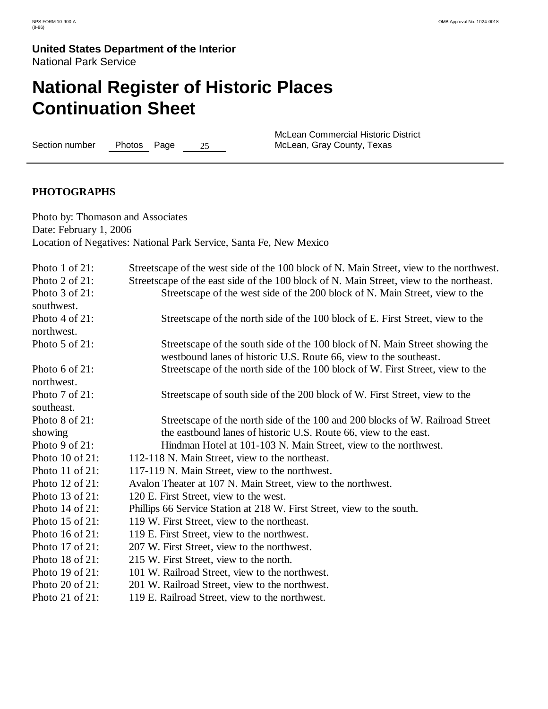# **National Register of Historic Places Continuation Sheet**

Section number Photos Page 25

McLean Commercial Historic District McLean, Gray County, Texas

### **PHOTOGRAPHS**

Photo by: Thomason and Associates Date: February 1, 2006 Location of Negatives: National Park Service, Santa Fe, New Mexico

| Photo 1 of 21:       | Streetscape of the west side of the 100 block of N. Main Street, view to the northwest. |
|----------------------|-----------------------------------------------------------------------------------------|
| Photo $2$ of $21$ :  | Streetscape of the east side of the 100 block of N. Main Street, view to the northeast. |
| Photo 3 of 21:       | Streetscape of the west side of the 200 block of N. Main Street, view to the            |
| southwest.           |                                                                                         |
| Photo 4 of 21:       | Streetscape of the north side of the 100 block of E. First Street, view to the          |
| northwest.           |                                                                                         |
| Photo 5 of 21:       | Streetscape of the south side of the 100 block of N. Main Street showing the            |
|                      | westbound lanes of historic U.S. Route 66, view to the southeast.                       |
| Photo 6 of 21:       | Streetscape of the north side of the 100 block of W. First Street, view to the          |
| northwest.           |                                                                                         |
| Photo 7 of 21:       | Streetscape of south side of the 200 block of W. First Street, view to the              |
| southeast.           |                                                                                         |
| Photo 8 of 21:       | Streetscape of the north side of the 100 and 200 blocks of W. Railroad Street           |
| showing              | the eastbound lanes of historic U.S. Route 66, view to the east.                        |
| Photo 9 of 21:       | Hindman Hotel at 101-103 N. Main Street, view to the northwest.                         |
| Photo 10 of 21:      | 112-118 N. Main Street, view to the northeast.                                          |
| Photo $11$ of $21$ : | 117-119 N. Main Street, view to the northwest.                                          |
| Photo 12 of 21:      | Avalon Theater at 107 N. Main Street, view to the northwest.                            |
| Photo 13 of 21:      | 120 E. First Street, view to the west.                                                  |
| Photo 14 of 21:      | Phillips 66 Service Station at 218 W. First Street, view to the south.                  |
| Photo 15 of 21:      | 119 W. First Street, view to the northeast.                                             |
| Photo 16 of 21:      | 119 E. First Street, view to the northwest.                                             |
| Photo 17 of 21:      | 207 W. First Street, view to the northwest.                                             |
| Photo 18 of 21:      | 215 W. First Street, view to the north.                                                 |
| Photo 19 of 21:      | 101 W. Railroad Street, view to the northwest.                                          |
| Photo 20 of 21:      | 201 W. Railroad Street, view to the northwest.                                          |
| Photo 21 of $21$ :   | 119 E. Railroad Street, view to the northwest.                                          |
|                      |                                                                                         |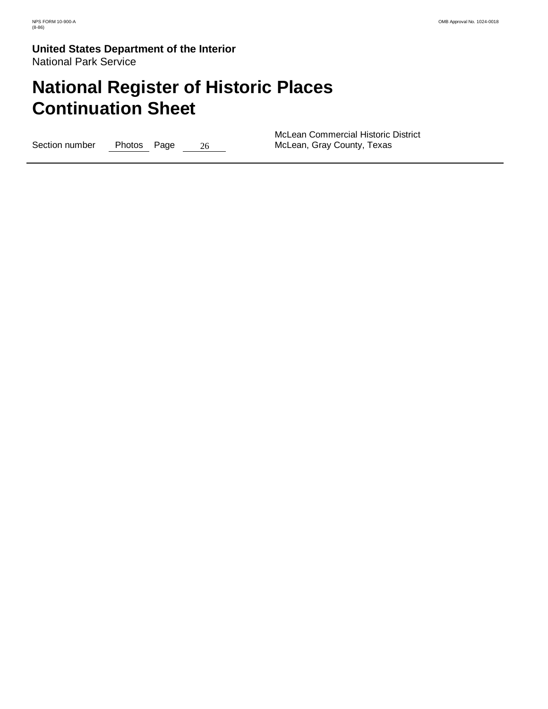# **National Register of Historic Places Continuation Sheet**

Section number Photos Page 26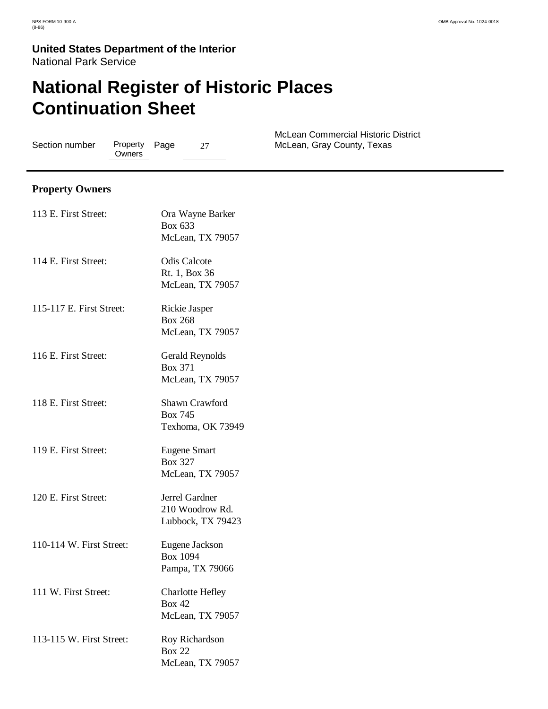### **United States Department of the Interior**

### National Park Service

# **National Register of Historic Places Continuation Sheet**

Section number Owners Property Page 27

McLean Commercial Historic District McLean, Gray County, Texas

#### **Property Owners**

| 113 E. First Street:     | Ora Wayne Barker<br>Box 633<br>McLean, TX 79057              |
|--------------------------|--------------------------------------------------------------|
| 114 E. First Street:     | <b>Odis Calcote</b><br>Rt. 1, Box 36<br>McLean, TX 79057     |
| 115-117 E. First Street: | Rickie Jasper<br><b>Box 268</b><br>McLean, TX 79057          |
| 116 E. First Street:     | Gerald Reynolds<br><b>Box 371</b><br>McLean, TX 79057        |
| 118 E. First Street:     | Shawn Crawford<br><b>Box 745</b><br>Texhoma, OK 73949        |
| 119 E. First Street:     | <b>Eugene Smart</b><br><b>Box 327</b><br>McLean, TX 79057    |
| 120 E. First Street:     | Jerrel Gardner<br>210 Woodrow Rd.<br>Lubbock, TX 79423       |
| 110-114 W. First Street: | Eugene Jackson<br><b>Box 1094</b><br>Pampa, TX 79066         |
| 111 W. First Street:     | <b>Charlotte Hefley</b><br><b>Box 42</b><br>McLean, TX 79057 |
| 113-115 W. First Street: | Roy Richardson<br><b>Box 22</b><br>McLean, TX 79057          |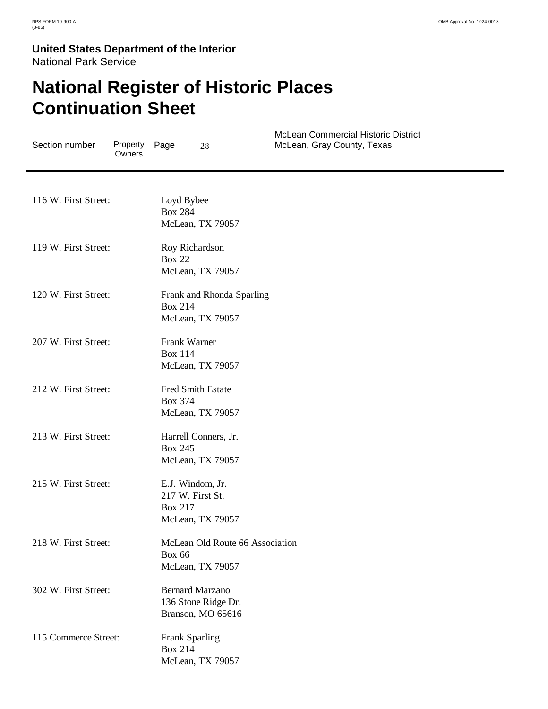# **National Register of Historic Places Continuation Sheet**

| Section number       | Property<br>Owners | Page           | 28                        | <b>McLean Commercial Historic District</b><br>McLean, Gray County, Texas |
|----------------------|--------------------|----------------|---------------------------|--------------------------------------------------------------------------|
|                      |                    |                |                           |                                                                          |
|                      |                    |                |                           |                                                                          |
| 116 W. First Street: |                    |                | Loyd Bybee                |                                                                          |
|                      |                    | <b>Box 284</b> |                           |                                                                          |
|                      |                    |                | McLean, TX 79057          |                                                                          |
| 119 W. First Street: |                    |                | Roy Richardson            |                                                                          |
|                      |                    | <b>Box 22</b>  |                           |                                                                          |
|                      |                    |                | McLean, TX 79057          |                                                                          |
| 120 W. First Street: |                    |                | Frank and Rhonda Sparling |                                                                          |
|                      |                    | <b>Box 214</b> |                           |                                                                          |
|                      |                    |                | McLean, TX 79057          |                                                                          |
| 207 W. First Street: |                    |                | Frank Warner              |                                                                          |
|                      |                    | <b>Box 114</b> |                           |                                                                          |
|                      |                    |                | McLean, TX 79057          |                                                                          |
|                      |                    |                |                           |                                                                          |
| 212 W. First Street: |                    |                | Fred Smith Estate         |                                                                          |
|                      |                    | <b>Box 374</b> |                           |                                                                          |
|                      |                    |                | McLean, TX 79057          |                                                                          |
| 213 W. First Street: |                    |                | Harrell Conners, Jr.      |                                                                          |
|                      |                    | <b>Box 245</b> |                           |                                                                          |
|                      |                    |                | McLean, TX 79057          |                                                                          |
| 215 W. First Street: |                    |                | E.J. Windom, Jr.          |                                                                          |
|                      |                    |                | 217 W. First St.          |                                                                          |
|                      |                    | <b>Box 217</b> |                           |                                                                          |
|                      |                    |                | McLean, TX 79057          |                                                                          |
|                      |                    |                |                           |                                                                          |
| 218 W. First Street: |                    |                |                           | McLean Old Route 66 Association                                          |
|                      |                    | <b>Box 66</b>  | McLean, TX 79057          |                                                                          |
|                      |                    |                |                           |                                                                          |
| 302 W. First Street: |                    |                | <b>Bernard Marzano</b>    |                                                                          |
|                      |                    |                | 136 Stone Ridge Dr.       |                                                                          |
|                      |                    |                | Branson, MO 65616         |                                                                          |
| 115 Commerce Street: |                    |                | <b>Frank Sparling</b>     |                                                                          |
|                      |                    | <b>Box 214</b> |                           |                                                                          |
|                      |                    |                | McLean, TX 79057          |                                                                          |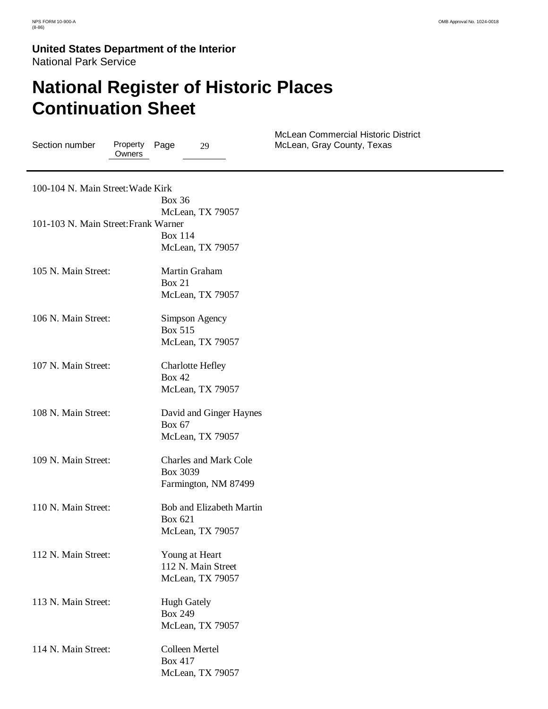# **National Register of Historic Places Continuation Sheet**

| Section number<br>Property<br>Owners | Page<br>29                      | <b>McLean Commercial Historic District</b><br>McLean, Gray County, Texas |
|--------------------------------------|---------------------------------|--------------------------------------------------------------------------|
| 100-104 N. Main Street: Wade Kirk    | <b>Box 36</b>                   |                                                                          |
|                                      | McLean, TX 79057                |                                                                          |
| 101-103 N. Main Street: Frank Warner |                                 |                                                                          |
|                                      | <b>Box 114</b>                  |                                                                          |
|                                      | McLean, TX 79057                |                                                                          |
|                                      |                                 |                                                                          |
| 105 N. Main Street:                  | Martin Graham                   |                                                                          |
|                                      | <b>Box 21</b>                   |                                                                          |
|                                      | McLean, TX 79057                |                                                                          |
| 106 N. Main Street:                  | Simpson Agency                  |                                                                          |
|                                      | <b>Box 515</b>                  |                                                                          |
|                                      | McLean, TX 79057                |                                                                          |
| 107 N. Main Street:                  | <b>Charlotte Hefley</b>         |                                                                          |
|                                      | <b>Box 42</b>                   |                                                                          |
|                                      | McLean, TX 79057                |                                                                          |
|                                      |                                 |                                                                          |
| 108 N. Main Street:                  | David and Ginger Haynes         |                                                                          |
|                                      | <b>Box 67</b>                   |                                                                          |
|                                      | McLean, TX 79057                |                                                                          |
| 109 N. Main Street:                  | <b>Charles and Mark Cole</b>    |                                                                          |
|                                      | Box 3039                        |                                                                          |
|                                      | Farmington, NM 87499            |                                                                          |
|                                      |                                 |                                                                          |
| 110 N. Main Street:                  | <b>Bob and Elizabeth Martin</b> |                                                                          |
|                                      | <b>Box 621</b>                  |                                                                          |
|                                      | McLean, TX 79057                |                                                                          |
| 112 N. Main Street:                  | Young at Heart                  |                                                                          |
|                                      | 112 N. Main Street              |                                                                          |
|                                      | McLean, TX 79057                |                                                                          |
|                                      |                                 |                                                                          |
| 113 N. Main Street:                  | <b>Hugh Gately</b>              |                                                                          |
|                                      | <b>Box 249</b>                  |                                                                          |
|                                      | McLean, TX 79057                |                                                                          |
| 114 N. Main Street:                  | Colleen Mertel                  |                                                                          |
|                                      | <b>Box 417</b>                  |                                                                          |
|                                      | McLean, TX 79057                |                                                                          |
|                                      |                                 |                                                                          |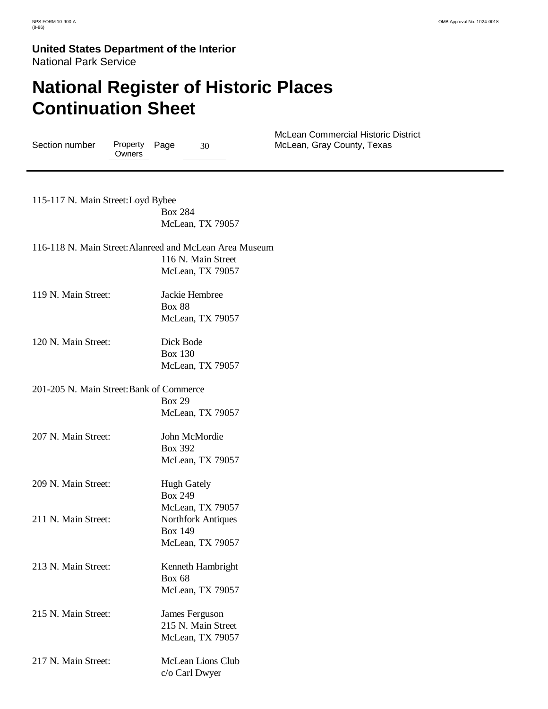### **United States Department of the Interior**

National Park Service

# **National Register of Historic Places Continuation Sheet**

Section number Owners Property Page 30

| 115-117 N. Main Street: Loyd Bybee       |                                                         |
|------------------------------------------|---------------------------------------------------------|
|                                          | <b>Box 284</b>                                          |
|                                          | McLean, TX 79057                                        |
|                                          | 116-118 N. Main Street: Alanreed and McLean Area Museum |
|                                          | 116 N. Main Street                                      |
|                                          | McLean, TX 79057                                        |
| 119 N. Main Street:                      | Jackie Hembree                                          |
|                                          | <b>Box 88</b>                                           |
|                                          | McLean, TX 79057                                        |
| 120 N. Main Street:                      | Dick Bode                                               |
|                                          | <b>Box 130</b>                                          |
|                                          | McLean, TX 79057                                        |
| 201-205 N. Main Street: Bank of Commerce |                                                         |
|                                          | <b>Box 29</b>                                           |
|                                          | McLean, TX 79057                                        |
| 207 N. Main Street:                      | John McMordie                                           |
|                                          | <b>Box 392</b>                                          |
|                                          | McLean, TX 79057                                        |
| 209 N. Main Street:                      | <b>Hugh Gately</b>                                      |
|                                          | <b>Box 249</b>                                          |
|                                          | McLean, TX 79057                                        |
| 211 N. Main Street:                      | <b>Northfork Antiques</b>                               |
|                                          | <b>Box 149</b>                                          |
|                                          | McLean, TX 79057                                        |
| 213 N. Main Street:                      | Kenneth Hambright                                       |
|                                          | <b>Box 68</b>                                           |
|                                          | McLean, TX 79057                                        |
| 215 N. Main Street:                      | James Ferguson                                          |
|                                          | 215 N. Main Street                                      |
|                                          | McLean, TX 79057                                        |
| 217 N. Main Street:                      | <b>McLean Lions Club</b>                                |
|                                          | c/o Carl Dwyer                                          |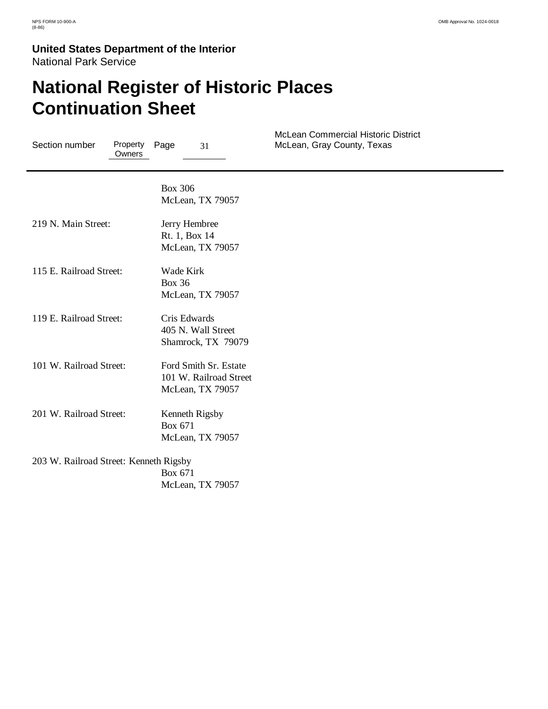### **United States Department of the Interior**

### National Park Service

# **National Register of Historic Places Continuation Sheet**

| Section number<br>Property<br>Owners   | Page<br>31                                                          | McLean Commercial Historic District<br>McLean, Gray County, Texas |
|----------------------------------------|---------------------------------------------------------------------|-------------------------------------------------------------------|
|                                        | <b>Box 306</b><br>McLean, TX 79057                                  |                                                                   |
| 219 N. Main Street:                    | Jerry Hembree<br>Rt. 1, Box 14<br>McLean, TX 79057                  |                                                                   |
| 115 E. Railroad Street:                | Wade Kirk<br><b>Box 36</b><br>McLean, TX 79057                      |                                                                   |
| 119 E. Railroad Street:                | Cris Edwards<br>405 N. Wall Street<br>Shamrock, TX 79079            |                                                                   |
| 101 W. Railroad Street:                | Ford Smith Sr. Estate<br>101 W. Railroad Street<br>McLean, TX 79057 |                                                                   |
| 201 W. Railroad Street:                | Kenneth Rigsby<br>Box 671<br>McLean, TX 79057                       |                                                                   |
| 203 W. Railroad Street: Kenneth Rigsby |                                                                     |                                                                   |
|                                        | Box 671                                                             |                                                                   |
|                                        | McLean, TX 79057                                                    |                                                                   |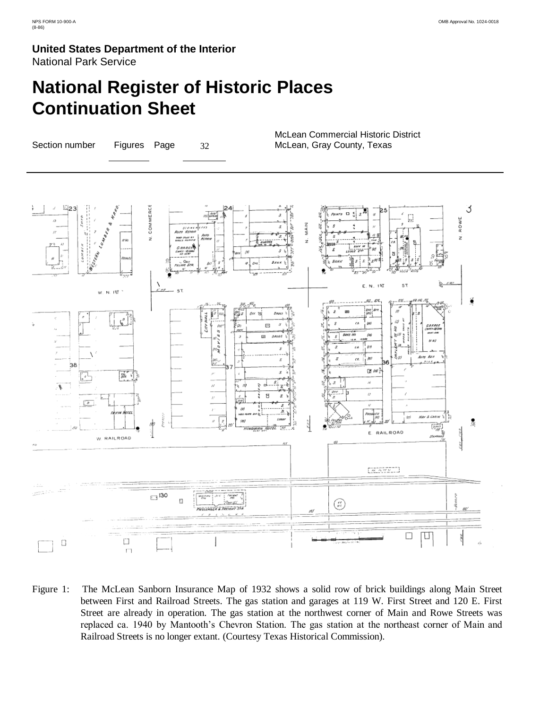# **National Register of Historic Places Continuation Sheet**

Section number Figures Page 32

McLean Commercial Historic District McLean, Gray County, Texas



Figure 1: The McLean Sanborn Insurance Map of 1932 shows a solid row of brick buildings along Main Street between First and Railroad Streets. The gas station and garages at 119 W. First Street and 120 E. First Street are already in operation. The gas station at the northwest corner of Main and Rowe Streets was replaced ca. 1940 by Mantooth's Chevron Station. The gas station at the northeast corner of Main and Railroad Streets is no longer extant. (Courtesy Texas Historical Commission).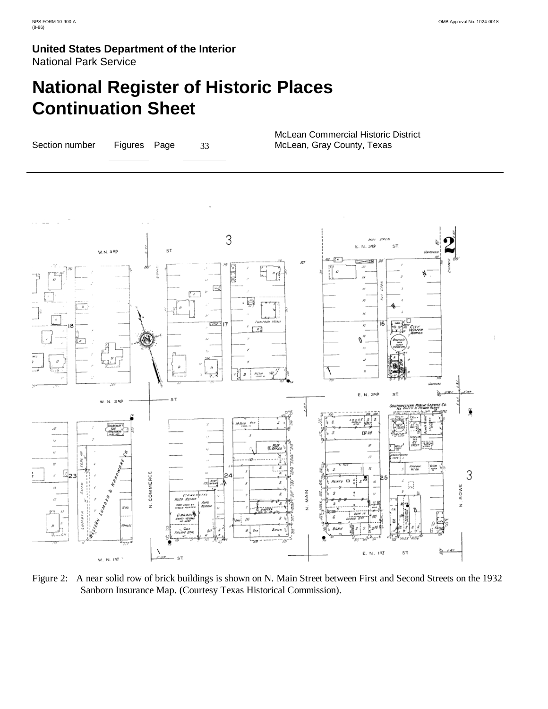# **National Register of Historic Places Continuation Sheet**

Section number Figures Page 33



Figure 2: A near solid row of brick buildings is shown on N. Main Street between First and Second Streets on the 1932 Sanborn Insurance Map. (Courtesy Texas Historical Commission).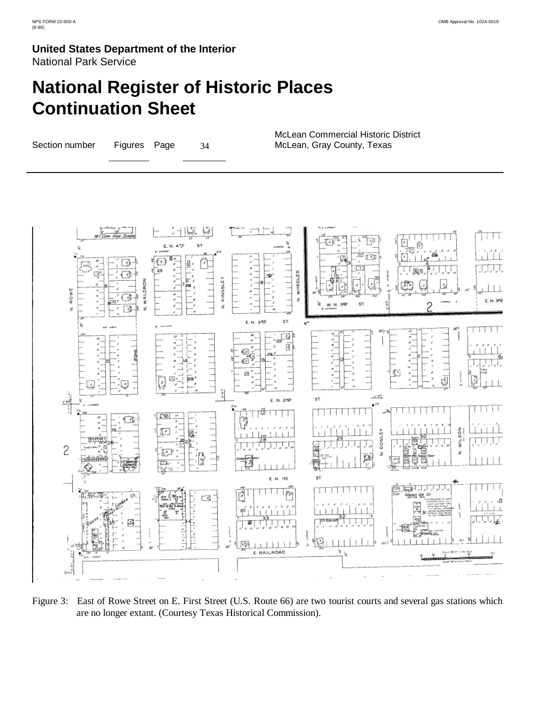# **National Register of Historic Places Continuation Sheet**

Section number Figures Page 34



Figure 3: East of Rowe Street on E. First Street (U.S. Route 66) are two tourist courts and several gas stations which are no longer extant. (Courtesy Texas Historical Commission).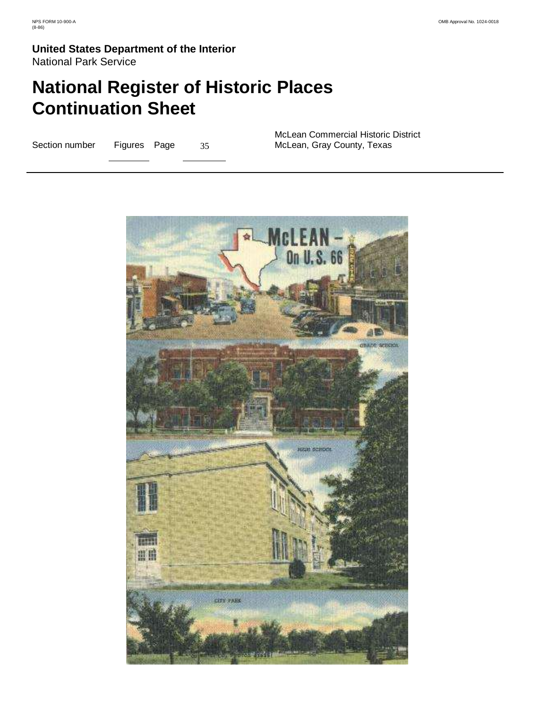# **National Register of Historic Places Continuation Sheet**

Section number Figures Page 35

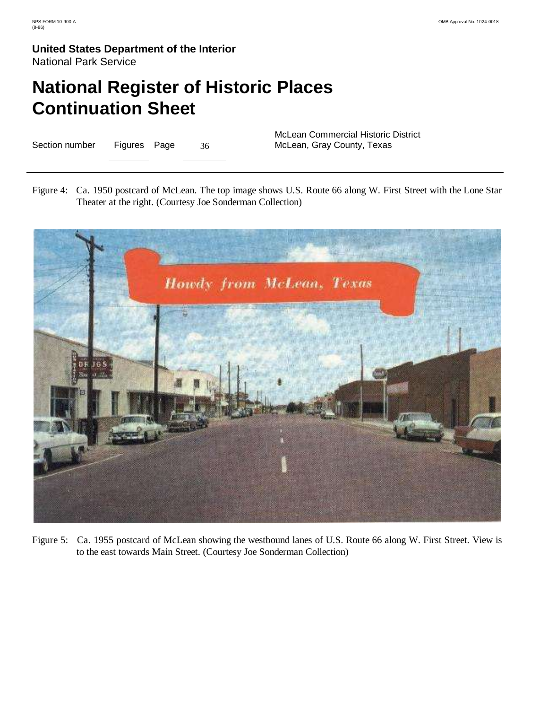# **National Register of Historic Places Continuation Sheet**

Section number Figures Page 36

McLean Commercial Historic District McLean, Gray County, Texas

Figure 4: Ca. 1950 postcard of McLean. The top image shows U.S. Route 66 along W. First Street with the Lone Star Theater at the right. (Courtesy Joe Sonderman Collection)



Figure 5: Ca. 1955 postcard of McLean showing the westbound lanes of U.S. Route 66 along W. First Street. View is to the east towards Main Street. (Courtesy Joe Sonderman Collection)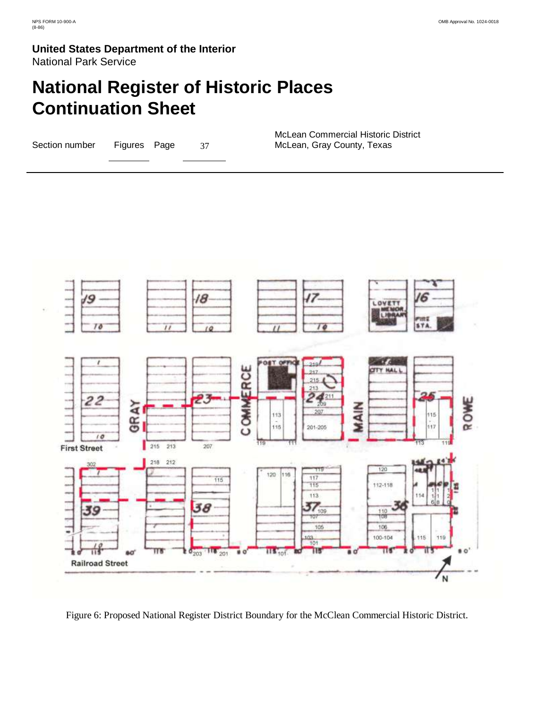# **National Register of Historic Places Continuation Sheet**

Section number Figures Page 37 McLean Commercial Historic District McLean, Gray County, Texas



Figure 6: Proposed National Register District Boundary for the McClean Commercial Historic District.